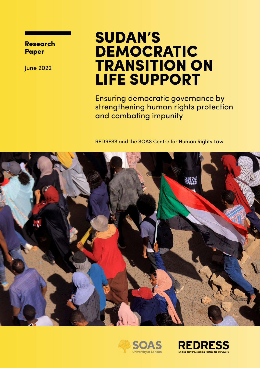Research Paper

June 2022

## SUDAN'S DEMOCRATIC TRANSITION ON LIFE SUPPORT

Ensuring democratic governance by strengthening human rights protection and combating impunity

REDRESS and the SOAS Centre for Human Rights Law





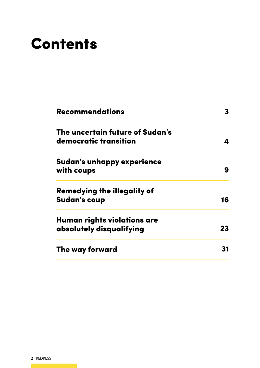# **Contents**

| <b>Recommendations</b>                                   | 3  |
|----------------------------------------------------------|----|
| The uncertain future of Sudan's<br>democratic transition |    |
| Sudan's unhappy experience<br>with coups                 | 9  |
| Remedying the illegality of<br><b>Sudan's coup</b>       | 16 |
| Human rights violations are<br>absolutely disqualifying  | 23 |
| The way forward                                          |    |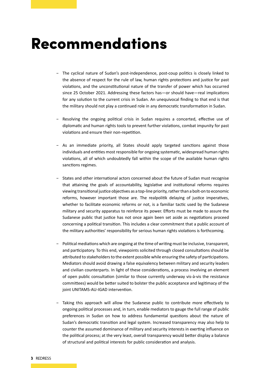## Recommendations

- − The cyclical nature of Sudan's post-independence, post-coup politics is closely linked to the absence of respect for the rule of law, human rights protections and justice for past violations, and the unconstitutional nature of the transfer of power which has occurred since 25 October 2021. Addressing these factors has—or should have—real implications for any solution to the current crisis in Sudan. An unequivocal finding to that end is that the military should not play a continued role in any democratic transformation in Sudan.
- − Resolving the ongoing political crisis in Sudan requires a concerted, effective use of diplomatic and human rights tools to prevent further violations, combat impunity for past violations and ensure their non-repetition.
- − As an immediate priority, all States should apply targeted sanctions against those individuals and entities most responsible for ongoing systematic, widespread human rights violations, all of which undoubtedly fall within the scope of the available human rights sanctions regimes.
- − States and other international actors concerned about the future of Sudan must recognise that attaining the goals of accountability, legislative and institutional reforms requires viewing transitional justice objectives as a top-line priority, rather than a bolt-on to economic reforms, however important those are. The realpolitik delaying of justice imperatives, whether to facilitate economic reforms or not, is a familiar tactic used by the Sudanese military and security apparatus to reinforce its power. Efforts must be made to assure the Sudanese public that justice has not once again been set aside as negotiations proceed concerning a political transition. This includes a clear commitment that a public account of the military authorities' responsibility for serious human rights violations is forthcoming.
- − Political mediations which are ongoing at the time of writing must be inclusive, transparent, and participatory. To this end, viewpoints solicited through closed consultations should be attributed to stakeholders to the extent possible while ensuring the safety of participations. Mediators should avoid drawing a false equivalency between military and security leaders and civilian counterparts. In light of these considerations, a process involving an element of open public consultation (similar to those currently underway vis-à-vis the resistance committees) would be better suited to bolster the public acceptance and legitimacy of the joint UNITAMS-AU-IGAD intervention.
- − Taking this approach will allow the Sudanese public to contribute more effectively to ongoing political processes and, in turn, enable mediators to gauge the full range of public preferences in Sudan on how to address fundamental questions about the nature of Sudan's democratic transition and legal system. Increased transparency may also help to counter the assumed dominance of military and security interests in exerting influence on the political process; at the very least, overall transparency would better display a balance of structural and political interests for public consideration and analysis.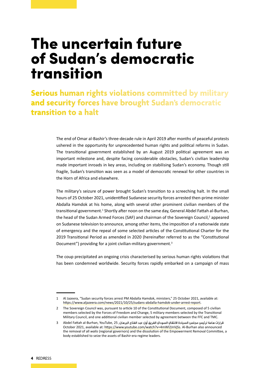## The uncertain future of Sudan's democratic transition

**Serious human rights violations committed by military and security forces have brought Sudan's democratic transition to a halt**

> The end of Omar al-Bashir's three-decade rule in April 2019 after months of peaceful protests ushered in the opportunity for unprecedented human rights and political reforms in Sudan. The transitional government established by an August 2019 political agreement was an important milestone and, despite facing considerable obstacles, Sudan's civilian leadership made important inroads in key areas, including on stabilising Sudan's economy. Though still fragile, Sudan's transition was seen as a model of democratic renewal for other countries in the Horn of Africa and elsewhere.

> The military's seizure of power brought Sudan's transition to a screeching halt. In the small hours of 25 October 2021, unidentified Sudanese security forces arrested then-prime minister Abdalla Hamdok at his home, along with several other prominent civilian members of the transitional government.<sup>1</sup> Shortly after noon on the same day, General Abdel Fattah al-Burhan, the head of the Sudan Armed Forces (SAF) and chairman of the Sovereign Council, $^2$  appeared on Sudanese television to announce, among other items, the imposition of a nationwide state of emergency and the repeal of some selected articles of the Constitutional Charter for the 2019 Transitional Period as amended in 2020 (hereinafter referred to as the "Constitutional Document") providing for a joint civilian-military government.<sup>3</sup>

> The coup precipitated an ongoing crisis characterised by serious human rights violations that has been condemned worldwide. Security forces rapidly embarked on a campaign of mass

<sup>1</sup> Al Jazeera, "Sudan security forces arrest PM Abdalla Hamdok, ministers," 25 October 2021, available at: <https://www.aljazeera.com/news/2021/10/25/sudans-abdalla-hamdok-under-arrest-report>.

<sup>2</sup> The Sovereign Council was, pursuant to article 10 of the Constitutional Document, composed of 5 civilian members selected by the Forces of Freedom and Change, 5 military members selected by the Transitional Military Council, and one additional civilian member selected by agreement between the FFC and TMC.

قرارات هامة لرئيس محلس السيادة الانتقال السودا*ف الفريق أول عبد الفتاح البرهان, 25 ,Abdel Fattah al-Burhan, YouTube, 25* October 2021, available at:<https://www.youtube.com/watch?v=4mWl2JnVjSs>. Al-Burhan also announced the removal of all *walis* (regional governors) and the dissolution of the Empowerment Removal Committee, a body established to seize the assets of Bashir-era regime leaders.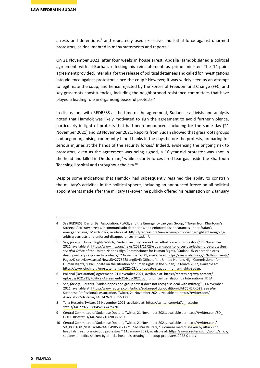arrests and detentions,<sup>4</sup> and repeatedly used excessive and lethal force against unarmed protestors, as documented in many statements and reports.<sup>5</sup>

On 21 November 2021, after four weeks in house arrest, Abdalla Hamdok signed a political agreement with al-Burhan, effecting his reinstatement as prime minister. The 14-point agreement provided, inter alia, for the release of political detainees and called for investigations into violence against protestors since the coup.<sup>6</sup> However, it was widely seen as an attempt to legitimate the coup, and hence rejected by the Forces of Freedom and Change (FFC) and key grassroots constituencies, including the neighborhood resistance committees that have played a leading role in organising peaceful protests.<sup>7</sup>

In discussions with REDRESS at the time of the agreement, Sudanese activists and analysts noted that Hamdok was likely motivated to sign the agreement to avoid further violence, particularly in light of protests that had been announced, including for the same day (21 November 2021) and 23 November 2021. Reports from Sudan showed that grassroots groups had begun organising community blood banks in the days before the protests, preparing for serious injuries at the hands of the security forces.<sup>8</sup> Indeed, evidencing the ongoing risk to protestors, even as the agreement was being signed, a 16-year-old protestor was shot in the head and killed in Omdurman,<sup>9</sup> while security forces fired tear gas inside the Khartoum Teaching Hospital and throughout the city.10

Despite some indications that Hamdok had subsequently regained the ability to constrain the military's activities in the political sphere, including an announced freeze on all political appointments made after the military takeover, he publicly offered his resignation on 2 January

<sup>4</sup> *See* REDRESS, Darfur Bar Association, PLACE, and the Emergency Lawyers Group, "'Taken from Khartoum's Streets:' Arbitrary arrests, incommunicado detentions, and enforced disappearances under Sudan's emergency laws," March 2022, available at: [https://redress.org/news/new-joint-briefing-highlights-ongoing](https://redress.org/news/new-joint-briefing-highlights-ongoing-arbitrary-arrests-and-enforced-disappearances-in-sudan/)[arbitrary-arrests-and-enforced-disappearances-in-sudan/](https://redress.org/news/new-joint-briefing-highlights-ongoing-arbitrary-arrests-and-enforced-disappearances-in-sudan/).

<sup>5</sup> *See, for e.g.,* Human Rights Watch, "Sudan: Security Forces Use Lethal Force on Protestors," 23 November 2021, available at:<https://www.hrw.org/news/2021/11/23/sudan-security-forces-use-lethal-force-protesters>; *see also* Office of the United Nations High Commissioner for Human Rights, "Sudan: UN expert deplores deadly military response to protests," 2 November 2021, available at: [https://www.ohchr.org/EN/NewsEvents/](https://www.ohchr.org/EN/NewsEvents/Pages/DisplayNews.aspx?NewsID=27752&LangID=E) [Pages/DisplayNews.aspx?NewsID=27752&LangID=E;](https://www.ohchr.org/EN/NewsEvents/Pages/DisplayNews.aspx?NewsID=27752&LangID=E) Office of the United Nations High Commissioner for Human Rights, "Oral update on the situation of human rights in the Sudan," 7 March 2022, available at: <https://www.ohchr.org/en/statements/2022/03/oral-update-situation-human-rights-sudan>.

<sup>6</sup> Political (Declaration) Agreement, 21 November 2021, available at: [https://redress.org/wp-content/](https://redress.org/wp-content/uploads/2021/11/Political-Agreement-21-Nov-2021.pdf) [uploads/2021/11/Political-Agreement-21-Nov-2021.pdf](https://redress.org/wp-content/uploads/2021/11/Political-Agreement-21-Nov-2021.pdf) (unofficial translation by International IDEA).

<sup>7</sup> *See, for e.g.,* Reuters, "Sudan opposition group says it does not recognise deal with military," 21 November 2021, available at:<https://www.reuters.com/article/sudan-politics-coalition-idAFC6N2RK029>; *see also* Sudanese Professionals Association, Twitter, 21 November 2021, available at: [https://twitter.com/](https://twitter.com/AssociationSd/status/1462426710335533058) [AssociationSd/status/1462426710335533058](https://twitter.com/AssociationSd/status/1462426710335533058).

<sup>8</sup> Taha Hussein, Twitter, 22 November 2021, available at: [https://twitter.com/6a7a\\_hussein/](https://twitter.com/6a7a_hussein/status/1462797233804521474?s=20) [status/1462797233804521474?s=20](https://twitter.com/6a7a_hussein/status/1462797233804521474?s=20).

<sup>9</sup> Central Committee of Sudanese Doctors, Twitter, 21 November 2021, available at: [https://twitter.com/SD\\_](https://twitter.com/SD_DOCTORS/status/1462461216698380297) [DOCTORS/status/1462461216698380297](https://twitter.com/SD_DOCTORS/status/1462461216698380297).

<sup>10</sup> Central Committee of Sudanese Doctors, Twitter, 21 November 2021, available at: [https://twitter.com/](https://twitter.com/SD_DOCTORS/status/1462445049053171721) [SD\\_DOCTORS/status/1462445049053171721](https://twitter.com/SD_DOCTORS/status/1462445049053171721). *See also* Reuters, "Sudanese medics shaken by attacks on hospitals treating anti-coup protestors," 11 January 2022, available at: [https://www.reuters.com/world/africa/](https://www.reuters.com/world/africa/sudanese-medics-shaken-by-attacks-hospitals-treating-anti-coup-protesters-2022-01-11/) [sudanese-medics-shaken-by-attacks-hospitals-treating-anti-coup-protesters-2022-01-11/](https://www.reuters.com/world/africa/sudanese-medics-shaken-by-attacks-hospitals-treating-anti-coup-protesters-2022-01-11/).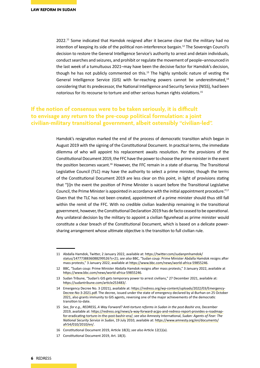2022.<sup>11</sup> Some indicated that Hamdok resigned after it became clear that the military had no intention of keeping its side of the political non-interference bargain.<sup>12</sup> The Sovereign Council's decision to restore the General Intelligence Service's authority to arrest and detain individuals, conduct searches and seizures, and prohibit or regulate the movement of people–announced in the last week of a tumultuous 2021–may have been the decisive factor for Hamdok's decision, though he has not publicly commented on this. $13$  The highly symbolic nature of vesting the General Intelligence Service (GIS) with far-reaching powers cannot be underestimated,14 considering that its predecessor, the National Intelligence and Security Service (NISS), had been notorious for its recourse to torture and other serious human rights violations.<sup>15</sup>

### **If the notion of consensus were to be taken seriously, it is difficult to envisage any return to the pre-coup political formulation: a joint civilian-military transitional government, albeit ostensibly "civilian-led".**

Hamdok's resignation marked the end of the process of democratic transition which began in August 2019 with the signing of the Constitutional Document. In practical terms, the immediate dilemma of who will appoint his replacement awaits resolution. Per the provisions of the Constitutional Document 2019, the FFC have the power to choose the prime minister in the event the position becomes vacant.16 However, the FFC remain in a state of disarray. The Transitional Legislative Council (TLC) may have the authority to select a prime minister, though the terms of the Constitutional Document 2019 are less clear on this point, in light of provisions stating that "[i]n the event the position of Prime Minister is vacant before the Transitional Legislative Council, the Prime Minister is appointed in accordance with the initial appointment procedure."<sup>17</sup> Given that the TLC has not been created, appointment of a prime minister should thus still fall within the remit of the FFC. With no credible civilian leadership remaining in the transitional government, however, the Constitutional Declaration 2019 has de facto ceased to be operational. Any unilateral decision by the military to appoint a civilian figurehead as prime minister would constitute a clear breach of the Constitutional Document, which is based on a delicate powersharing arrangement whose ultimate objective is the transition to full civilian rule.

<sup>11</sup> Abdalla Hamdok, Twitter, 2 January 2022, available at: [https://twitter.com/sudanpmhamdok/](https://twitter.com/sudanpmhamdok/status/1477738836088299526?s=21) [status/1477738836088299526?s=21](https://twitter.com/sudanpmhamdok/status/1477738836088299526?s=21); *see also* BBC, "Sudan coup: Prime Minister Abdalla Hamdok resigns after mass protests," 3 January 2022, available at<https://www.bbc.com/news/world-africa-59855246>.

<sup>12</sup> BBC, "Sudan coup: Prime Minister Abdalla Hamdok resigns after mass protests," 3 January 2022, available at <https://www.bbc.com/news/world-africa-59855246>.

<sup>13</sup> Sudan Tribune, "Sudan's GIS gets temporary power to arrest civilians," 27 December 2021, available at: <https://sudantribune.com/article253483/>.

<sup>14</sup> Emergency Decree No. 3 (2021), available at: [https://redress.org/wp-content/uploads/2022/03/Emergency-](https://redress.org/wp-content/uploads/2022/03/Emergency-Decree-No-3-2021.pdf)[Decree-No-3-2021.pdf](https://redress.org/wp-content/uploads/2022/03/Emergency-Decree-No-3-2021.pdf). The decree, issued under the state of emergency declared by al-Burhan on 25 October 2021, also grants immunity to GIS agents, reversing one of the major achievements of the democratic transition to-date.

<sup>15</sup> *See, for e.g., REDRESS, A Way Forward? Anti-torture reforms in Sudan in the post-Bashir era*, December 2019, available at: [https://redress.org/news/a-way-forward-acjps-and-redress-report-provides-a-roadmap](https://redress.org/news/a-way-forward-acjps-and-redress-report-provides-a-roadmap-for-eradicating-torture-in-the-post-bashir-era/)[for-eradicating-torture-in-the-post-bashir-era/](https://redress.org/news/a-way-forward-acjps-and-redress-report-provides-a-roadmap-for-eradicating-torture-in-the-post-bashir-era/); *see also* Amnesty International, *Sudan: Agents of Fear: The National Security Service in Sudan*, 19 July 2010, available at: [https://www.amnesty.org/en/documents/](https://www.amnesty.org/en/documents/afr54/010/2010/en/) [afr54/010/2010/en/](https://www.amnesty.org/en/documents/afr54/010/2010/en/).

<sup>16</sup> Constitutional Document 2019, Article 18(3); *see also* Article 12(1)(a).

<sup>17</sup> Constitutional Document 2019, Art. 18(3).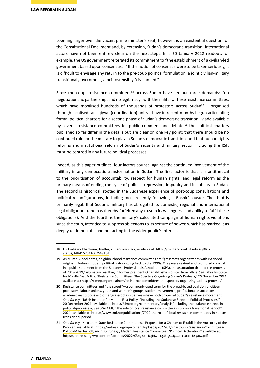Looming larger over the vacant prime minister's seat, however, is an existential question for the Constitutional Document and, by extension, Sudan's democratic transition. International actors have not been entirely clear on the next steps. In a 20 January 2022 readout, for example, the US government reiterated its commitment to "the establishment of a civilian-led government based upon consensus."18 If the notion of consensus were to be taken seriously, it is difficult to envisage any return to the pre-coup political formulation: a joint civilian-military transitional government, albeit ostensibly "civilian-led."

Since the coup, resistance committees<sup>19</sup> across Sudan have set out three demands: "no negotiation, no partnership, and no legitimacy" with the military. These resistance committees, which have mobilised hundreds of thousands of protestors across Sudan<sup>20</sup> – organised through localised tansiqiyyat (coordination) units – have in recent months begun articulating formal political charters for a second phase of Sudan's democratic transition. Made available by several resistance committees for public comment and debate, $21$  the political charters published so far differ in the details but are clear on one key point: that there should be no continued role for the military to play in Sudan's democratic transition, and that human rights reforms and institutional reform of Sudan's security and military sector, including the RSF, must be centred in any future political processes.

Indeed, as this paper outlines, four factors counsel against the continued involvement of the military in any democratic transformation in Sudan. The first factor is that it is antithetical to the prioritisation of accountability, respect for human rights, and legal reform as the primary means of ending the cycle of political repression, impunity and instability in Sudan. The second is historical, rooted in the Sudanese experience of post-coup consultations and political reconfigurations, including most recently following al-Bashir's ouster. The third is primarily legal: that Sudan's military has abrogated its domestic, regional and international legal obligations (and has thereby forfeited any trust in its willingness and ability to fulfil these obligations). And the fourth is the military's calculated campaign of human rights violations since the coup, intended to suppress objections to its seizure of power, which has marked it as deeply undemocratic and not acting in the wider public's interest.

<sup>18</sup> US Embassy Khartoum, Twitter, 20 January 2022, available at: [https://twitter.com/USEmbassyKRT/](https://twitter.com/USEmbassyKRT/status/1484152541667549184) [status/1484152541667549184](https://twitter.com/USEmbassyKRT/status/1484152541667549184).

<sup>19</sup> As Muzan Alneel notes, neighbourhood resistance committees are "grassroots organizations with extended origins in Sudan's modern political history going back to the 1990s. They were revived and prompted via a call in a public statement from the Sudanese Professionals Association (SPA), the association that led the protests of 2019-2019," ultimately resulting in former president Omar al-Bashir's ouster from office. *See* Tahrir Institute for Middle East Policy, "Resistance Committees: The Specters Organizing Sudan's Protests," 26 November 2021, available at:<https://timep.org/explainers/resistance-committees-the-specters-organizing-sudans-protests/>.

<sup>20</sup> Resistance committees and "the street"—a commonly-used term for the broad-based coalition of citizen protestors, labour unions, youth and women's groups, student movements, professional associations, academic institutions and other grassroots initiatives—have both propelled Sudan's resistance movement. *See, for e.g.,* Tahrir Institute for Middle East Policy, "Including the Sudanese Street in Political Processes," 20 December 2021, available at: [https://timep.org/commentary/analysis/including-the-sudanese-street-in](https://timep.org/commentary/analysis/including-the-sudanese-street-in-political-processes/)[political-processes/](https://timep.org/commentary/analysis/including-the-sudanese-street-in-political-processes/); *see also* CMI, "The role of local resistance committees in Sudan's transitional period," 2021, available at: [https://www.cmi.no/publications/7920-the-role-of-local-resistance-committees-in-sudans](https://www.cmi.no/publications/7920-the-role-of-local-resistance-committees-in-sudans-transitional-period)[transitional-period](https://www.cmi.no/publications/7920-the-role-of-local-resistance-committees-in-sudans-transitional-period).

<sup>21</sup> *See, for e.g.,* Khartoum State Resistance Committees, "Proposal for a Charter to Establish the Authority of the People," available at: [https://redress.org/wp-content/uploads/2022/03/Khartoum-Resistance-Committees-](https://redress.org/wp-content/uploads/2022/03/Khartoum-Resistance-Committees-Political-Charter.pdf)[Political-Charter.pdf;](https://redress.org/wp-content/uploads/2022/03/Khartoum-Resistance-Committees-Political-Charter.pdf) *see also*, *for e.g.*, Madani Resistance Committee, "Political Declaration," available at: .pdf.مسودة-الإعلان-السياسي-للجان-مقاومة-مدني/2022/03/uttps://redress.org/wp-content/uploads/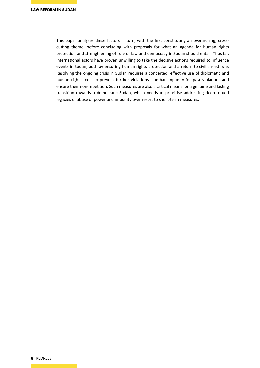This paper analyses these factors in turn, with the first constituting an overarching, crosscutting theme, before concluding with proposals for what an agenda for human rights protection and strengthening of rule of law and democracy in Sudan should entail. Thus far, international actors have proven unwilling to take the decisive actions required to influence events in Sudan, both by ensuring human rights protection and a return to civilian-led rule. Resolving the ongoing crisis in Sudan requires a concerted, effective use of diplomatic and human rights tools to prevent further violations, combat impunity for past violations and ensure their non-repetition. Such measures are also a critical means for a genuine and lasting transition towards a democratic Sudan, which needs to prioritise addressing deep-rooted legacies of abuse of power and impunity over resort to short-term measures.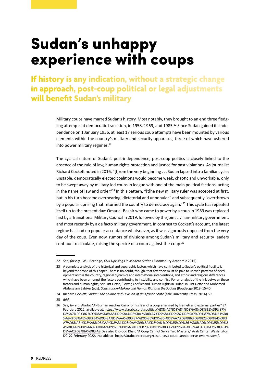# Sudan's unhappy experience with coups

**If history is any indication, without a strategic change in approach, post-coup political or legal adjustments will benefit Sudan's military**

> Military coups have marred Sudan's history. Most notably, they brought to an end three fledgling attempts at democratic transition, in 1958, 1969, and 1985.<sup>22</sup> Since Sudan gained its independence on 1 January 1956, at least 17 serious coup attempts have been mounted by various elements within the country's military and security apparatus, three of which have ushered into power military regimes.<sup>23</sup>

> The cyclical nature of Sudan's post-independence, post-coup politics is closely linked to the absence of the rule of law, human rights protection and justice for past violations. As journalist Richard Cockett noted in 2016, "[f]rom the very beginning . . . Sudan lapsed into a familiar cycle: unstable, democratically elected coalitions would become weak, chaotic and unworkable, only to be swept away by military-led coups in league with one of the main political factions, acting in the name of law and order."<sup>24</sup> In this pattern, "[t]he new military ruler was accepted at first, but in his turn became overbearing, dictatorial and unpopular," and subsequently "overthrown by a popular uprising that returned the country to democracy again."<sup>25</sup> This cycle has repeated itself up to the present day: Omar al-Bashir who came to power by a coup in 1989 was replaced first by a Transitional Military Council in 2019, followed by the joint civilian-military government, and most recently by a de facto military government. In contrast to Cockett's account, the latest regime has had no popular acceptance whatsoever, as it was vigorously opposed from the very day of the coup. Even now, rumors of divisions among Sudan's military and security leaders continue to circulate, raising the spectre of a coup-against-the-coup.<sup>26</sup>

25 *Ibid.*

<sup>22</sup> *See, for e.g.,* W.J. Berridge, *Civil Uprisings in Modern Sudan* (Bloomsbury Academic 2015).

<sup>23</sup> A complete analysis of the historical and geographic factors which have contributed to Sudan's political fragility is beyond the scope of this paper. There is no doubt, though, that attention must be paid to uneven patterns of development across the country, regional dynamics and international interventions, and ethnic and religious differences which have been amongst the factors contributing to instability and conflict. For an analysis of the link between these factors and human rights, *see* Lutz Oette, 'Power, Conflict and Human Rights in Sudan' in Lutz Oette and Mohamed Abdelsalam Babiker (eds), *Constitution-Making and Human Rights in the Sudans* (Routledge 2019) 15-40.

<sup>24</sup> Richard Cockett, *Sudan: The Failure and Division of an African State* (Yale University Press, 2016) 59.

<sup>26</sup> *See, for e.g.* Alarby, "Al-Burhan reaches Cairo for his fear of a coup arranged by Hemeti and external parties" 24 February 2022, available at: https://www.alaraby.co.uk/politics/%D8%A7%D9%84%D8%A8%D8%B1%D9%87% D8%A7%D9%86-%D9%8A%D8%A8%D9%84%D8%BA-%D8%A7%D9%84%D9%82%D8%A7%D9%87%D8%B1%D8 %A9-%D8%AE%D8%B4%D9%8A%D8%AA%D9%87-%D9%85%D9%86-%D8%A7%D9%86%D9%82%D9%84%D8% A7%D8%A8-%D8%A8%D8%AA%D8%B1%D8%AA%D9%8A%D8%A8-%D9%85%D9%86-%D8%AD%D9%85%D9%8 A%D8%AF%D8%AA%D9%8A-%D9%88%D8%A3%D8%B7%D8%B1%D8%A7%D9%81-%D8%AE%D8%A7%D8%B1% D8%AC%D9%8A%D8%A9. *See* also Kholood Khair, "A Coup Cannot Serve Two Masters," Arab Center Washington DC, 22 February 2022, available at: https://arabcenterdc.org/resource/a-coup-cannot-serve-two-masters/.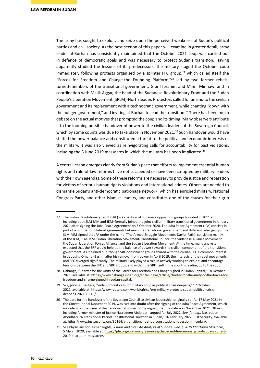The army has sought to exploit, and seize upon the perceived weakness of Sudan's political parties and civil society. As the next section of this paper will examine in greater detail, army leader al-Burhan has consistently maintained that the October 2021 coup was carried out in defence of democratic goals and was necessary to protect Sudan's transition. Having apparently studied the lessons of its predecessors, the military staged the October coup immediately following protests organised by a splinter FFC group, $27$  which called itself the "Forces for Freedom and Change-the Founding Platform,"28 led by two former rebelsturned-members of the transitional government, Gibril Ibrahim and Minni Minnawi and in coordination with Malik Aggar, the head of the Sudanese Revolutionary Front and the Sudan People's Liberation Movement (SPLM)-North leader. Protestors called for an end to the civilian government and its replacement with a technocratic government, while chanting "down with the hunger government," and inviting al-Burhan to lead the transition.<sup>29</sup> There has been much debate on the actual motives that prompted the coup and its timing. Many observers attribute it to the looming possible handover of power to the civilian leaders of the Sovereign Council, which by some counts was due to take place in November 2021. $^{30}$  Such handover would have shifted the power balance and constituted a threat to the political and economic interests of the military. It was also viewed as reinvigorating calls for accountability for past violations, including the 3 June 2019 massacres in which the military has been implicated. $31$ 

A central lesson emerges clearly from Sudan's past: that efforts to implement essential human rights and rule-of-law reforms have not succeeded or have been co-opted by military leaders with their own agendas. Some of these reforms are necessary to provide justice and reparation for victims of serious human rights violations and international crimes. Others are needed to dismantle Sudan's anti-democratic patronage network, which has enriched military, National Congress Party, and other Islamist leaders, and constitutes one of the causes for their grip

<sup>27</sup> The Sudan Revolutionary Front (SRF) – a coalition of Sudanese opposition groups founded in 2011 and including both SLM-MM and JEM–formally joined the joint civilian-military transitional government in January 2021 after signing the Juba Peace Agreement on 3 October 2020. The Juba Peace Agreement (JPA) consists in part of a number of bilateral agreements between the transitional government and different rebel groups; the SLM-MM signed the JPA under the name "The Armed Struggle Movements-Darfur Path), consisting mainly of the JEM, SLM-MM, Sudan Liberation Movement-Transitional Council, the Sudanese Alliance Movement, the Sudan Liberation Forces Alliance, and the Sudan Liberation Movement. At the time, many analysts expected that the SRF would help tip the balance of power towards the civilian component of the transitional government. As it turned out, though SRF-constituent groups shared with the civilian FFC a common interest in deposing Omar al-Bashir, after his removal from power in April 2019, the interests of the rebel movements and FFC diverged significantly. The military likely played a role in actively working to exploit, and encourage, tensions between the FFC and SRF groups, and within the SRF itself in the months leading up to the coup.

<sup>28</sup> Dabanga, "Charter for the Unity of the Forces for Freedom and Change signed in Sudan Capital," 18 October 2021, available at: [https://www.dabangasudan.org/en/all-news/article/charter-for-the-unity-of-the-forces-for](https://www.dabangasudan.org/en/all-news/article/charter-for-the-unity-of-the-forces-for-freedom-and-change-signed-in-sudan-capital)[freedom-and-change-signed-in-sudan-capital](https://www.dabangasudan.org/en/all-news/article/charter-for-the-unity-of-the-forces-for-freedom-and-change-signed-in-sudan-capital).

<sup>29</sup> *See, for e.g.,* Reuters, "Sudan protest calls for military coup as political crisis deepens," 17 October 2021, available at: https://www.reuters.com/world/africa/pro-military-protests-sudan-political-crisisdeepens-2021-10-16/.

<sup>30</sup> The date for the handover of the Sovereign Council to civilian leadership, originally set for 17 May 2021 in the Constitutional Document 2019, was cast into doubt after the signing of the Juba Peace Agreement, which was silent on the issue of the handover of power. Some argued that the date was November 2021. Others, including former minister of justice Nasredeen Abdulbari, argued for July 2022. *See, for e.g.,* Nasredeen Abdulbari, "A Transitional Period Constitutional Question in Sudan," 16 February 2022, Just Security, available at: <https://www.justsecurity.org/80164/a-transitional-period-constitutional-question-in-sudan/>.

<sup>31</sup> *See* Physicians for Human Rights, *'Chaos and Fire:' An Analysis of Sudan's June 3, 2019 Khartoum Massacre*, 5 March 2020, available at: [https://phr.org/our-work/resources/chaos-and-fire-an-analysis-of-sudans-june-3-](https://phr.org/our-work/resources/chaos-and-fire-an-analysis-of-sudans-june-3-2019-khartoum-massacre/) [2019-khartoum-massacre/](https://phr.org/our-work/resources/chaos-and-fire-an-analysis-of-sudans-june-3-2019-khartoum-massacre/).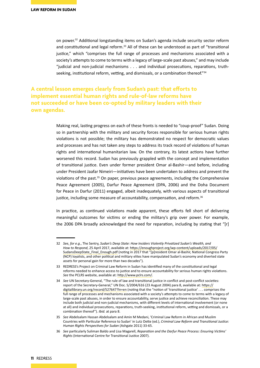on power.<sup>32</sup> Additional longstanding items on Sudan's agenda include security sector reform and constitutional and legal reform.<sup>33</sup> All of these can be understood as part of "transitional justice," which "comprises the full range of processes and mechanisms associated with a society's attempts to come to terms with a legacy of large-scale past abuses," and may include "judicial and non-judicial mechanisms . . . and individual prosecutions, reparations, truthseeking, institutional reform, vetting, and dismissals, or a combination thereof."<sup>34</sup>

**A central lesson emerges clearly from Sudan's past: that efforts to implement essential human rights and rule-of-law reforms have not succeeded or have been co-opted by military leaders with their own agendas.**

> Making real, lasting progress on each of these fronts is needed to "coup-proof" Sudan. Doing so in partnership with the military and security forces responsible for serious human rights violations is not possible; the military has demonstrated no respect for democratic values and processes and has not taken any steps to address its track record of violations of human rights and international humanitarian law. On the contrary, its latest actions have further worsened this record. Sudan has previously grappled with the concept and implementation of transitional justice. Even under former president Omar al-Bashir—and before, including under President Jaafar Nimeiri—initiatives have been undertaken to address and prevent the violations of the past. $35$  On paper, previous peace agreements, including the Comprehensive Peace Agreement (2005), Darfur Peace Agreement (DPA, 2006) and the Doha Document for Peace in Darfur (2011) engaged, albeit inadequately, with various aspects of transitional justice, including some measure of accountability, compensation, and reform.<sup>36</sup>

> In practice, as continued violations made apparent, these efforts fell short of delivering meaningful outcomes for victims or ending the military's grip over power. For example, the 2006 DPA broadly acknowledged the need for reparation, including by stating that "[r]

<sup>32</sup> *See, for e.g.*, The Sentry, *Sudan's Deep State: How Insiders Violently Privatized Sudan's Wealth, and How to Respond*, 25 April 2017, available at: [https://enoughproject.org/wp-content/uploads/2017/05/](https://enoughproject.org/wp-content/uploads/2017/05/SudansDeepState_Final_Enough.pdf) [SudansDeepState\\_Final\\_Enough.pdf](https://enoughproject.org/wp-content/uploads/2017/05/SudansDeepState_Final_Enough.pdf) (noting in 2017 that "[p]resident Omar al-Bashir, National Congress Party (NCP) loyalists, and other political and military elites have manipulated Sudan's economy and diverted state assets for personal gain for more than two decades").

<sup>33</sup> REDRESS's Project on Criminal Law Reform in Sudan has identified many of the constitutional and legal reforms needed to enhance access to justice and to ensure accountability for serious human rights violations. *See* the PCLRS website, available at: <http://www.pclrs.com/>.

<sup>34</sup> *See* UN Secretary-General, "The rule of law and transitional justice in conflict and post-conflict societies: report of the Secretary-General," UN Doc. S/2004/616 (23 August 2004) para 8, available at: [https://](https://digitallibrary.un.org/record/527647?ln=en) [digitallibrary.un.org/record/527647?ln=en](https://digitallibrary.un.org/record/527647?ln=en) (noting that the "notion of 'transitional justice' . . . comprises the full range of processes and mechanisms associated with a society's attempts to come to terms with a legacy of large-scale past abuses, in order to ensure accountability, serve justice and achieve reconciliation. These may include both judicial and non-judicial mechanisms, with different levels of international involvement (or none at all) and individual prosecutions, reparations, truth-seeking, institutional reform, vetting and dismissals, or a combination thereof"). *Ibid.* at para 8.

<sup>35</sup> *See* Abdelsalam Hassan Abdelsalam and Amin M Medani, 'Criminal Law Reform in African and Muslim Countries with Particular Reference to Sudan' in Lutz Oette (ed.), *Criminal Law Reform and Transitional Justice: Human Rights Perspectives for Sudan* (Ashgate 2011) 33-65.

<sup>36</sup> *See* particularly Suliman Baldo and Lisa Magarell, *Reparation and the Darfur Peace Process: Ensuring Victims' Rights* (International Centre for Transitional Justice 2007).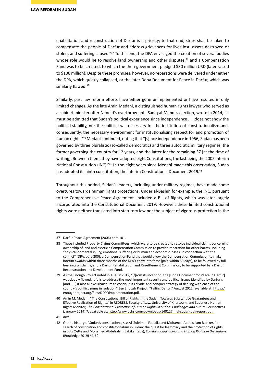ehabilitation and reconstruction of Darfur is a priority; to that end, steps shall be taken to compensate the people of Darfur and address grievances for lives lost, assets destroyed or stolen, and suffering caused."<sup>37</sup> To this end, the DPA envisaged the creation of several bodies whose role would be to resolve land ownership and other disputes, $38$  and a Compensation Fund was to be created, to which the then-government pledged \$30 million USD (later raised to \$100 million). Despite these promises, however, no reparations were delivered under either the DPA, which quickly collapsed, or the later Doha Document for Peace in Darfur, which was similarly flawed.<sup>39</sup>

Similarly, past law reform efforts have either gone unimplemented or have resulted in only limited changes. As the late Amin Medani, a distinguished human rights lawyer who served as a cabinet minister after Nimeiri's overthrow until Sadiq al-Mahdi's election, wrote in 2014, "it must be admitted that Sudan's political experience since independence . . . does not show the political stability, nor the political will necessary for the institution of constitutionalism and, consequently, the necessary environment for institutionalising respect for and promotion of human rights."40 Medani continued, noting that "[s]ince independence in 1956, Sudan has been governed by three pluralistic (so-called democratic) and three autocratic military regimes, the former governing the country for 12 years, and the latter for the remaining 37 [at the time of writing]. Between them, they have adopted eight Constitutions, the last being the 2005 Interim National Constitution (INC)."41 In the eight years since Medani made this observation, Sudan has adopted its ninth constitution, the interim Constitutional Document 2019.<sup>42</sup>

Throughout this period, Sudan's leaders, including under military regimes, have made some overtures towards human rights protections. Under al-Bashir, for example, the INC, pursuant to the Comprehensive Peace Agreement, included a Bill of Rights, which was later largely incorporated into the Constitutional Document 2019. However, these limited constitutional rights were neither translated into statutory law nor the subject of vigorous protection in the

<sup>37</sup> Darfur Peace Agreement (2006) para 101.

<sup>38</sup> These included Property Claims Committees, which were to be created to resolve individual claims concerning ownership of land and assets; a Compensation Commission to provide reparation for other harms, including "physical or mental injury, emotional suffering or human and economic losses, in connection with the conflict" (DPA, para 200); a Compensation Fund that would allow the Compensation Commission to make interim awards within three months of the DPA's entry into force (paid within 60 days), to be followed by full hearings on claims; and a Darfur Rehabilitation and Resettlement Commission, to be supported by a Darfur Reconstruction and Development Fund.

<sup>39</sup> As the Enough Project noted in August 2012, "[f]rom its inception, the [Doha Document for Peace in Darfur] was deeply flawed. It fails to address the most important security and political issues identified by Darfuris [and . . .] it also allows Khartoum to continue its divide-and-conquer strategy of dealing with each of the country's conflict zones in isolation." *See* Enough Project, "Failing Darfur," August 2012, available at: [https://](https://enoughproject.org/files/DDPDimplementation.pdf) [enoughproject.org/files/DDPDimplementation.pdf](https://enoughproject.org/files/DDPDimplementation.pdf).

<sup>40</sup> Amin M. Medani, "The Constitutional Bill of Rights in the Sudan: Towards Substantive Guarantees and Effective Realisation of Rights," in REDRESS, Faculty of Law, University of Khartoum, and Sudanese Human Rights Monitor, *The Constitutional Protection of Human Rights in Sudan: Challenges and Future Perspectives* (January 2014) 7, available at:<http://www.pclrs.com/downloads/140127final-sudan-uok-report.pdf>.

<sup>41</sup> *Ibid.*

<sup>42</sup> On the history of Sudan's constitutions, *see* Ali Suleiman Fadlalla and Mohamed Abdelsalam Babiker, 'In search of constitution and constitutionalism in Sudan: the quest for legitimacy and the protection of rights' in Lutz Oette and Mohamed Abdelsalam Babiker (eds), *Constitution-Making and Human Rights in the Sudans* (Routledge 2019) 41-62.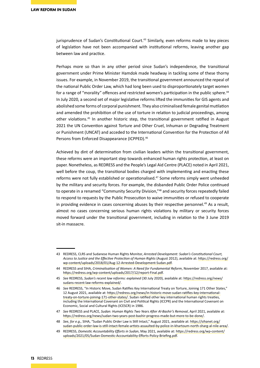jurisprudence of Sudan's Constitutional Court.<sup>43</sup> Similarly, even reforms made to key pieces of legislation have not been accompanied with institutional reforms, leaving another gap between law and practice.

Perhaps more so than in any other period since Sudan's independence, the transitional government under Prime Minister Hamdok made headway in tackling some of these thorny issues. For example, in November 2019, the transitional government announced the repeal of the national Public Order Law, which had long been used to disproportionately target women for a range of "morality" offences and restricted women's participation in the public sphere.<sup>44</sup> In July 2020, a second set of major legislative reforms lifted the immunities for GIS agents and abolished some forms of corporal punishment. They also criminalised female genital mutilation and amended the prohibition of the use of torture in relation to judicial proceedings, among other violations.45 In another historic step, the transitional government ratified in August 2021 the UN Convention against Torture and Other Cruel, Inhuman or Degrading Treatment or Punishment (UNCAT) and acceded to the International Convention for the Protection of All Persons from Enforced Disappearance (ICPPED).<sup>46</sup>

Achieved by dint of determination from civilian leaders within the transitional government, these reforms were an important step towards enhanced human rights protection, at least on paper. Nonetheless, as REDRESS and the People's Legal Aid Centre (PLACE) noted in April 2021, well before the coup, the transitional bodies charged with implementing and enacting these reforms were not fully established or operationalised.<sup>47</sup> Some reforms simply went unheeded by the military and security forces. For example, the disbanded Public Order Police continued to operate in a renamed "Community Security Division,"<sup>48</sup> and security forces repeatedly failed to respond to requests by the Public Prosecution to waive immunities or refused to cooperate in providing evidence in cases concerning abuses by their respective personnel.<sup>49</sup> As a result, almost no cases concerning serious human rights violations by military or security forces moved forward under the transitional government, including in relation to the 3 June 2019 sit-in massacre.

<sup>43</sup> REDRESS, CLRS and Sudanese Human Rights Monitor, *Arrested Development: Sudan's Constitutional Court, Access to Justice and the Effective Protection of Human Rights* (August 2012), available at: [https://redress.org/](https://redress.org/wp-content/uploads/2018/01/Aug-12-Arrested-Development-Sudan.pdf) [wp-content/uploads/2018/01/Aug-12-Arrested-Development-Sudan.pdf](https://redress.org/wp-content/uploads/2018/01/Aug-12-Arrested-Development-Sudan.pdf).

<sup>44</sup> REDRESS and SIHA, *Criminalisation of Women: A Need for Fundamental Reform*, November 2017, available at: <https://redress.org/wp-content/uploads/2017/12/report-Final.pdf>.

<sup>45</sup> *See* REDRESS, *Sudan's recent law reforms: explained* (30 July 2020), available at: [https://redress.org/news/](https://redress.org/news/sudans-recent-law-reforms-explained/) [sudans-recent-law-reforms-explained/](https://redress.org/news/sudans-recent-law-reforms-explained/).

<sup>46</sup> *See* REDRESS, "In Historic Move, Sudan Ratifies Key International Treaty on Torture, Joining 171 Other States," 12 August 2021, available at: [https://redress.org/news/in-historic-move-sudan-ratifies-key-international](https://redress.org/news/in-historic-move-sudan-ratifies-key-international-treaty-on-torture-joining-171-other-states/)[treaty-on-torture-joining-171-other-states/.](https://redress.org/news/in-historic-move-sudan-ratifies-key-international-treaty-on-torture-joining-171-other-states/) Sudan ratified other key international human rights treaties, including the International Covenant on Civil and Political Rights (ICCPR) and the International Covenant on Economic, Social and Cultural Rights (ICESCR) in 1986.

<sup>47</sup> *See* REDRESS and PLACE, *Sudan: Human Rights Two Years After Al-Bashir's Removal*, April 2021, available at: <https://redress.org/news/sudan-two-years-post-bashir-progress-made-but-more-to-be-done/>.

<sup>48</sup> *See, for e.g.,* SIHA, "Sudan Public Order Law is Still Intact," August 2021, available at: [https://sihanet.org/](https://sihanet.org/sudan-public-order-law-is-still-intact-female-artists-assaulted-by-police-in-khartoum-north-sharg-al-nile-area/) [sudan-public-order-law-is-still-intact-female-artists-assaulted-by-police-in-khartoum-north-sharg-al-nile-area/](https://sihanet.org/sudan-public-order-law-is-still-intact-female-artists-assaulted-by-police-in-khartoum-north-sharg-al-nile-area/).

<sup>49</sup> REDRESS, *Domestic Accountability Efforts in Sudan*, May 2021, available at: [https://redress.org/wp-content/](https://redress.org/wp-content/uploads/2021/05/Sudan-Domestic-Accountability-Efforts-Policy-Briefing.pdf) [uploads/2021/05/Sudan-Domestic-Accountability-Efforts-Policy-Briefing.pdf](https://redress.org/wp-content/uploads/2021/05/Sudan-Domestic-Accountability-Efforts-Policy-Briefing.pdf).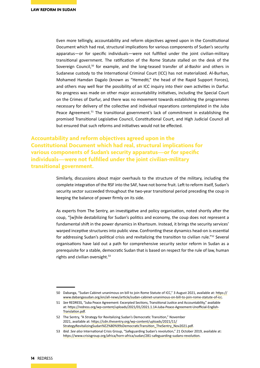Even more tellingly, accountability and reform objectives agreed upon in the Constitutional Document which had real, structural implications for various components of Sudan's security apparatus—or for specific individuals—were not fulfilled under the joint civilian-military transitional government. The ratification of the Rome Statute stalled on the desk of the Sovereign Council, $50$  for example, and the long-teased transfer of al-Bashir and others in Sudanese custody to the International Criminal Court (ICC) has not materialized. Al-Burhan, Mohamed Hamdan Dagalo (known as "Hemedti," the head of the Rapid Support Forces), and others may well fear the possibility of an ICC inquiry into their own activities in Darfur. No progress was made on other major accountability initiatives, including the Special Court on the Crimes of Darfur, and there was no movement towards establishing the programmes necessary for delivery of the collective and individual reparations contemplated in the Juba Peace Agreement.<sup>51</sup> The transitional government's lack of commitment in establishing the promised Transitional Legislative Council, Constitutional Court, and High Judicial Council all but ensured that such reforms and initiatives would not be effected.

**Accountability and reform objectives agreed upon in the Constitutional Document which had real, structural implications for various components of Sudan's security apparatus—or for specific individuals—were not fulfilled under the joint civilian-military transitional government.**

> Similarly, discussions about major overhauls to the structure of the military, including the complete integration of the RSF into the SAF, have not borne fruit. Left to reform itself, Sudan's security sector succeeded throughout the two-year transitional period preceding the coup in keeping the balance of power firmly on its side.

> As experts from The Sentry, an investigative and policy organisation, noted shortly after the coup, "[w]hile destabilizing for Sudan's politics and economy, the coup does not represent a fundamental shift in the power dynamics in Khartoum. Instead, it brings the security services' warped inceptive structures into public view. Confronting these dynamics head-on is essential for addressing Sudan's political crisis and revitalizing the transition to civilian rule."<sup>52</sup> Several organisations have laid out a path for comprehensive security sector reform in Sudan as a prerequisite for a stable, democratic Sudan that is based on respect for the rule of law, human rights and civilian oversight.<sup>53</sup>

<sup>50</sup> Dabanga, "Sudan Cabinet unanimous on bill to join Rome Statute of ICC," 3 August 2021, available at: [https://](https://www.dabangasudan.org/en/all-news/article/sudan-cabinet-unanimous-on-bill-to-join-rome-statute-of-icc) [www.dabangasudan.org/en/all-news/article/sudan-cabinet-unanimous-on-bill-to-join-rome-statute-of-icc](https://www.dabangasudan.org/en/all-news/article/sudan-cabinet-unanimous-on-bill-to-join-rome-statute-of-icc).

<sup>51</sup> *See* REDRESS, "Juba Peace Agreement: Excerpted Sections, Transitional Justice and Accountability," available at: [https://redress.org/wp-content/uploads/2021/01/2021.1.14-Juba-Peace-Agreement-Unofficial-English-](https://redress.org/wp-content/uploads/2021/01/2021.1.14-Juba-Peace-Agreement-Unofficial-English-Translation.pdf)[Translation.pdf](https://redress.org/wp-content/uploads/2021/01/2021.1.14-Juba-Peace-Agreement-Unofficial-English-Translation.pdf).

<sup>52</sup> The Sentry, "A Strategy for Revitalizing Sudan's Democratic Transition," November 2021, available at: [https://cdn.thesentry.org/wp-content/uploads/2021/11/](https://cdn.thesentry.org/wp-content/uploads/2021/11/StrategyRevitalizingSudan%E2%80%99sDemocraticTransition_TheSentry_Nov2021.pdf) [StrategyRevitalizingSudan%E2%80%99sDemocraticTransition\\_TheSentry\\_Nov2021.pdf](https://cdn.thesentry.org/wp-content/uploads/2021/11/StrategyRevitalizingSudan%E2%80%99sDemocraticTransition_TheSentry_Nov2021.pdf).

<sup>53</sup> *Ibid. See also* International Crisis Group, "Safeguarding Sudan's revolution," 21 October 2019, available at: <https://www.crisisgroup.org/africa/horn-africa/sudan/281-safeguarding-sudans-revolution>.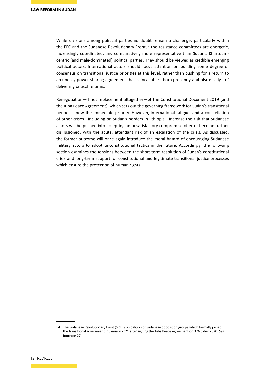While divisions among political parties no doubt remain a challenge, particularly within the FFC and the Sudanese Revolutionary Front, $54$  the resistance committees are energetic, increasingly coordinated, and comparatively more representative than Sudan's Khartoumcentric (and male-dominated) political parties. They should be viewed as credible emerging political actors. International actors should focus attention on building some degree of consensus on transitional justice priorities at this level, rather than pushing for a return to an uneasy power-sharing agreement that is incapable—both presently and historically—of delivering critical reforms.

Renegotiation—if not replacement altogether—of the Constitutional Document 2019 (and the Juba Peace Agreement), which sets out the governing framework for Sudan's transitional period, is now the immediate priority. However, international fatigue, and a constellation of other crises—including on Sudan's borders in Ethiopia—increase the risk that Sudanese actors will be pushed into accepting an unsatisfactory compromise offer or become further disillusioned, with the acute, attendant risk of an escalation of the crisis. As discussed, the former outcome will once again introduce the moral hazard of encouraging Sudanese military actors to adopt unconstitutional tactics in the future. Accordingly, the following section examines the tensions between the short-term resolution of Sudan's constitutional crisis and long-term support for constitutional and legitimate transitional justice processes which ensure the protection of human rights.

<sup>54</sup> The Sudanese Revolutionary Front (SRF) is a coalition of Sudanese opposition groups which formally joined the transitional government in January 2021 after signing the Juba Peace Agreement on 3 October 2020. *See*  footnote 27.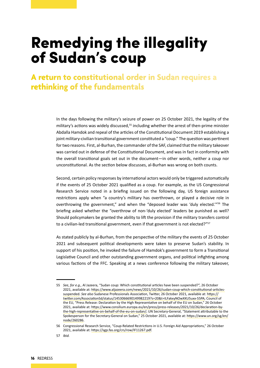# Remedying the illegality of Sudan's coup

**A return to constitutional order in Sudan requires a rethinking of the fundamentals** 

> In the days following the military's seizure of power on 25 October 2021, the legality of the military's actions was widely discussed,<sup>55</sup> including whether the arrest of then-prime minister Abdalla Hamdok and repeal of the articles of the Constitutional Document 2019 establishing a joint military-civilian transitional government constituted a "coup." The question was pertinent for two reasons. First, al-Burhan, the commander of the SAF, claimed that the military takeover was carried out in defense of the Constitutional Document, and was in fact in conformity with the overall transitional goals set out in the document—in other words, neither a coup nor unconstitutional. As the section below discusses, al-Burhan was wrong on both counts.

> Second, certain policy responses by international actors would only be triggered automatically if the events of 25 October 2021 qualified as a coup. For example, as the US Congressional Research Service noted in a briefing issued on the following day, US foreign assistance restrictions apply when "a country's military has overthrown, or played a decisive role in overthrowing the government," and when the "deposed leader was 'duly elected.'"56 The briefing asked whether the "overthrow of non-'duly elected' leaders be punished as well? Should policymakers be granted the ability to lift the provision if the military transfers control to a civilian-led transitional government, even if that government is not elected?"<sup>57</sup>

> As stated publicly by al-Burhan, from the perspective of the military the events of 25 October 2021 and subsequent political developments were taken to preserve Sudan's stability. In support of his position, he invoked the failure of Hamdok's government to form a Transitional Legislative Council and other outstanding government organs, and political infighting among various factions of the FFC. Speaking at a news conference following the military takeover,

<sup>55</sup> *See, for e.g.,* Al Jazeera, "Sudan coup: Which constitutional articles have been suspended?", 26 October 2021, available at: [https://www.aljazeera.com/news/2021/10/26/sudan-coup-which-constitutional-articles](https://www.aljazeera.com/news/2021/10/26/sudan-coup-which-constitutional-articles-suspended)[suspended.](https://www.aljazeera.com/news/2021/10/26/sudan-coup-which-constitutional-articles-suspended) *See also* Sudanese Professionals Association, Twitter, 26 October 2021, available at: [https://](https://twitter.com/AssociationSd/status/1453066690149982219?s=20&t=ILFakxyNOwXKU5uxx-55PA) [twitter.com/AssociationSd/status/1453066690149982219?s=20&t=ILFakxyNOwXKU5uxx-55PA](https://twitter.com/AssociationSd/status/1453066690149982219?s=20&t=ILFakxyNOwXKU5uxx-55PA); Council of the EU, "Press Release: Declaration by the High Representative on behalf of the EU on Sudan," 26 October 2021, available at: [https://www.consilium.europa.eu/en/press/press-releases/2021/10/26/declaration-by](https://www.consilium.europa.eu/en/press/press-releases/2021/10/26/declaration-by-the-high-representative-on-behalf-of-the-eu-on-sudan/)[the-high-representative-on-behalf-of-the-eu-on-sudan/](https://www.consilium.europa.eu/en/press/press-releases/2021/10/26/declaration-by-the-high-representative-on-behalf-of-the-eu-on-sudan/); UN Secretary-General, "Statement attributable to the Spokesperson for the Secretary-General on Sudan," 25 October 2021, available at: [https://www.un.org/sg/en/](https://www.un.org/sg/en/node/260286) [node/260286](https://www.un.org/sg/en/node/260286).

<sup>56</sup> Congressional Research Service, "Coup-Related Restrictions in U.S. Foreign Aid Appropriations," 26 October 2021, available at:<https://sgp.fas.org/crs/row/IF11267.pdf>.

<sup>57</sup> *Ibid.*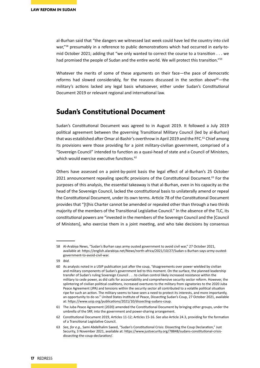al-Burhan said that "the dangers we witnessed last week could have led the country into civil war,"<sup>58</sup> presumably in a reference to public demonstrations which had occurred in early-tomid October 2021; adding that "we only wanted to correct the course to a transition . . . we had promised the people of Sudan and the entire world. We will protect this transition."<sup>59</sup>

Whatever the merits of some of these arguments on their face—the pace of democratic reforms had slowed considerably, for the reasons discussed in the section above $60$ —the military's actions lacked any legal basis whatsoever, either under Sudan's Constitutional Document 2019 or relevant regional and international law.

### **Sudan's Constitutional Document**

Sudan's Constitutional Document was agreed to in August 2019. It followed a July 2019 political agreement between the governing Transitional Military Council (led by al-Burhan) that was established after Omar al-Bashir's overthrow in April 2019 and the FFC.<sup>61</sup> Chief among its provisions were those providing for a joint military-civilian government, comprised of a "Sovereign Council" intended to function as a quasi-head of state and a Council of Ministers, which would exercise executive functions.<sup>62</sup>

Others have assessed on a point-by-point basis the legal effect of al-Burhan's 25 October 2021 announcement repealing specific provisions of the Constitutional Document.<sup>63</sup> For the purposes of this analysis, the essential takeaway is that al-Burhan, even in his capacity as the head of the Sovereign Council, lacked the constitutional basis to unilaterally amend or repeal the Constitutional Document, under its own terms. Article 78 of the Constitutional Document provides that "[t]his Charter cannot be amended or repealed other than through a two thirds majority of the members of the Transitional Legislative Council." In the absence of the TLC, its constitutional powers are "invested in the members of the Sovereign Council and the [Council of Ministers], who exercise them in a joint meeting, and who take decisions by consensus

59 *Ibid.*

<sup>58</sup> Al-Arabiya News, "Sudan's Burhan says army ousted government to avoid civil war," 27 October 2021, available at: [https://english.alarabiya.net/News/north-africa/2021/10/27/Sudan-s-Burhan-says-army-ousted](https://english.alarabiya.net/News/north-africa/2021/10/27/Sudan-s-Burhan-says-army-ousted-government-to-avoid-civil-war)[government-to-avoid-civil-war](https://english.alarabiya.net/News/north-africa/2021/10/27/Sudan-s-Burhan-says-army-ousted-government-to-avoid-civil-war).

<sup>60</sup> As analysts noted in a USIP publication just after the coup, "disagreements over power wielded by civilian and military components of Sudan's government led to this moment. On the surface, the planned leadership transfer of Sudan's ruling Sovereign Council . . . to civilian control likely increased resistance within the military to cede power, as did calls for accountability and comprehensive security sector reform. However, the splintering of civilian political coalitions, increased overtures to the military from signatories to the 2020 Juba Peace Agreement (JPA) and tensions within the security sector all contributed to a volatile political situation ripe for such an action. The military seems to have seen a need to protect its interests, and more importantly, an opportunity to do so." United States Institute of Peace, Dissecting Sudan's Coup, 27 October 2021, available at: <https://www.usip.org/publications/2021/10/dissecting-sudans-coup>.

<sup>61</sup> The Juba Peace Agreement (2020) amended the Constitutional Document by bringing other groups, under the umbrella of the SRF, into the government and power-sharing arrangement.

<sup>62</sup> Constitutional Document 2019, Articles 11-12; Articles 15-16. *See also* Article 24.3, providing for the formation of a Transitional Legislative Council.

<sup>63</sup> *See, for e.g.,* Sami Abdelhalim Saeed, "Sudan's Constitutional Crisis: Dissecting the Coup Declaration," Just Security, 3 November 2021, available at: [https://www.justsecurity.org/78848/sudans-constitutional-crisis](https://www.justsecurity.org/78848/sudans-constitutional-crisis-dissecting-the-coup-declaration/)[dissecting-the-coup-declaration/](https://www.justsecurity.org/78848/sudans-constitutional-crisis-dissecting-the-coup-declaration/).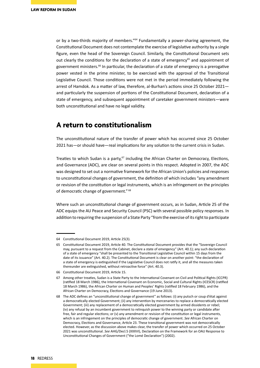or by a two-thirds majority of members."<sup>64</sup> Fundamentally a power-sharing agreement, the Constitutional Document does not contemplate the exercise of legislative authority by a single figure, even the head of the Sovereign Council. Similarly, the Constitutional Document sets out clearly the conditions for the declaration of a state of emergency<sup>65</sup> and appointment of government ministers. $66$  In particular, the declaration of a state of emergency is a prerogative power vested in the prime minister, to be exercised with the approval of the Transitional Legislative Council. Those conditions were not met in the period immediately following the arrest of Hamdok. As a matter of law, therefore, al-Burhan's actions since 25 October 2021 and particularly the suspension of portions of the Constitutional Document, declaration of a state of emergency, and subsequent appointment of caretaker government ministers—were both unconstitutional and have no legal validity.

### **A return to constitutionalism**

The unconstitutional nature of the transfer of power which has occurred since 25 October 2021 has—or should have—real implications for any solution to the current crisis in Sudan.

Treaties to which Sudan is a party, $67$  including the African Charter on Democracy, Elections, and Governance (ADC), are clear on several points in this respect. Adopted in 2007, the ADC was designed to set out a normative framework for the African Union's policies and responses to unconstitutional changes of government, the definition of which includes "any amendment or revision of the constitution or legal instruments, which is an infringement on the principles of democratic change of government."<sup>68</sup>

Where such an unconstitutional change of government occurs, as in Sudan, Article 25 of the ADC equips the AU Peace and Security Council (PSC) with several possible policy responses. In addition to requiring the suspension of a State Party "from the exercise of its right to participate

<sup>64</sup> Constitutional Document 2019, Article 25(3).

<sup>65</sup> Constitutional Document 2019, Article 40. The Constitutional Document provides that the "Sovereign Council may, pursuant to a request from the Cabinet, declare a state of emergency" (Art. 40.1); any such declaration of a state of emergency "shall be presented to the Transitional Legislative Council within 15 days from the date of its issuance" (Art. 40.2). The Constitutional Document is clear on another point: "the declaration of a state of emergency is extinguished if the Legislative Council does not ratify it, and all the measures taken thereunder are extinguished, without retroactive force" (Art. 40.3).

<sup>66</sup> Constitutional Document 2019, Article 15.

<sup>67</sup> Among other treaties, Sudan is a State Party to the International Covenant on Civil and Political Rights (ICCPR) (ratified 18 March 1986), the International Covenant on Economic, Social and Cultural Rights (ICESCR) (ratified 18 March 1986), the African Charter on Human and Peoples' Rights (ratified 18 February 1986), and the African Charter on Democracy, Elections and Governance (19 June 2013).

<sup>68</sup> The ADC defines an "unconstitutional change of government" as follows: (i) any putsch or coup d'état against a democratically elected Government; (ii) any intervention by mercenaries to replace a democratically elected Government; (iii) any replacement of a democratically elected government by armed dissidents or rebel; (iv) any refusal by an incumbent government to relinquish power to the winning party or candidate after free, fair and regular elections; or (v) any amendment or revision of the constitution or legal instruments, which is an infringement on the principles of democratic change of government. *See* African Charter on Democracy, Elections and Governance, Article 23. These transitional government was not democratically elected. However, as the discussion above makes clear, the transfer of power which occurred on 25 October 2021 was unconstitutional. *See* AHG/Decl.5 (XXXVI), Declaration on the Framework for an OAU Response to Unconstitutional Changes of Government ("the Lomé Declaration") (2002).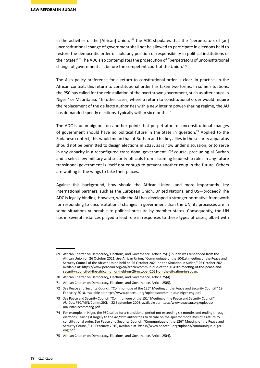in the activities of the [African] Union,"<sup>69</sup> the ADC stipulates that the "perpetrators of [an] unconstitutional change of government shall not be allowed to participate in elections held to restore the democratic order or hold any position of responsibility in political institutions of their State."70 The ADC also contemplates the prosecution of "perpetrators of unconstitutional change of government . . . before the competent court of the Union."71

The AU's policy preference for a return to constitutional order is clear. In practice, in the African context, this return to constitutional order has taken two forms. In some situations, the PSC has called for the reinstallation of the overthrown government, such as after coups in Niger $72$  or Mauritania.<sup>73</sup> In other cases, where a return to constitutional order would require the replacement of the de facto authorities with a new interim power-sharing regime, the AU has demanded speedy elections, typically within six months.<sup>74</sup>

The ADC is unambiguous on another point: that perpetrators of unconstitutional changes of government should have no political future in the State in question.75 Applied to the Sudanese context, this would mean that al-Burhan and his key allies in the security apparatus should not be permitted to design elections in 2023, as is now under discussion, or to serve in any capacity in a reconfigured transitional government. Of course, precluding al-Burhan and a select few military and security officials from assuming leadership roles in any future transitional government is itself not enough to prevent another coup in the future. Others are waiting in the wings to take their places.

Against this background, how should the African Union—and more importantly, key international partners, such as the European Union, United Nations, and US—proceed? The ADC is legally binding. However, while the AU has developed a stronger normative framework for responding to unconstitutional changes in government than the UN, its processes are in some situations vulnerable to political pressure by member states. Consequently, the UN has in several instances played a lead role in responses to these types of crises, albeit with

<sup>69</sup> African Charter on Democracy, Elections, and Governance, Article 25(1). Sudan was suspended from the African Union on 26 October 2021. *See* African Union, "Communiqué of the 1041st meeting of the Peace and Security Council of the African Union held on 26 October 2021 on the Situation in Sudan," 26 October 2021, available at: [https://www.peaceau.org/en/article/communique-of-the-1041th-meeting-of-the-peace-and](https://www.peaceau.org/en/article/communique-of-the-1041th-meeting-of-the-peace-and-security-council-of-the-african-union-held-on-26-october-2021-on-the-situation-in-sudan)[security-council-of-the-african-union-held-on-26-october-2021-on-the-situation-in-sudan](https://www.peaceau.org/en/article/communique-of-the-1041th-meeting-of-the-peace-and-security-council-of-the-african-union-held-on-26-october-2021-on-the-situation-in-sudan).

<sup>70</sup> African Charter on Democracy, Elections, and Governance, Article 25(4).

<sup>71</sup> African Charter on Democracy, Elections, and Governance, Article 25(5).

<sup>72</sup> See Peace and Security Council, "Communique of the 126<sup>th</sup> Meeting of the Peace and Security Council," 19 February 2010, available at: <https://www.peaceau.org/uploads/communique-niger-eng.pdf>.

<sup>73</sup> *See* Peace and Security Council, "Communique of the 151st Meeting of the Peace and Security Council," AU Doc. PSC/MIN/Comm.2(CLI), 22 September 2008, available at: [https://www.peaceau.org/uploads/](https://www.peaceau.org/uploads/mauritaniacommeng.pdf) [mauritaniacommeng.pdf](https://www.peaceau.org/uploads/mauritaniacommeng.pdf).

<sup>74</sup> For example, in Niger, the PSC called for a transitional period not exceeding six months and ending through elections, leaving it largely to the *de facto* authorities to decide on the specific modalities of a return to constitutional order. *See* Peace and Security Council, "Communique of the 126th Meeting of the Peace and Security Council," 19 February 2010, available at: [https://www.peaceau.org/uploads/communique-niger](https://www.peaceau.org/uploads/communique-niger-eng.pdf)[eng.pdf.](https://www.peaceau.org/uploads/communique-niger-eng.pdf)

<sup>75</sup> African Charter on Democracy, Elections, and Governance, Article 25(4).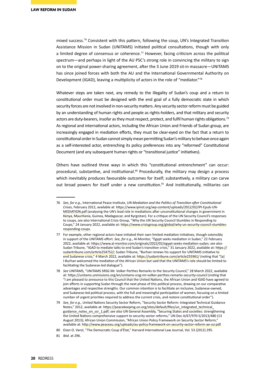mixed success.76 Consistent with this pattern, following the coup, UN's Integrated Transition Assistance Mission in Sudan (UNITAMS) initiated political consultations, though with only a limited degree of consensus or coherence.<sup>77</sup> However, facing criticism across the political spectrum—and perhaps in light of the AU PSC's strong role in convincing the military to sign on to the original power-sharing agreement, after the 3 June 2019 sit-in massacre—UNITAMS has since joined forces with both the AU and the International Governmental Authority on Development (IGAD), leaving a multiplicity of actors in the role of "mediator."<sup>78</sup>

Whatever steps are taken next, any remedy to the illegality of Sudan's coup and a return to constitutional order must be designed with the end goal of a fully democratic state in which security forces are not involved in non-security matters. Any security sector reform must be guided by an understanding of human rights and people as rights-holders, and that military and security actors are duty-bearers, insofar as they must respect, protect, and fulfil human rights obligations.<sup>79</sup> As regional and international actors, including the African Union and Friends of Sudan group, are increasingly engaged in mediation efforts, they must be clear-eyed on the fact that a return to constitutional order in Sudan cannot simply mean permitting Sudan's military to behave once again as a self-interested actor, entrenching its policy preferences into any "reformed" Constitutional Document (and any subsequent human rights or "transitional justice" initiatives).

Others have outlined three ways in which this "constitutional entrenchment" can occur: procedural, substantive, and institutional.<sup>80</sup> Procedurally, the military may design a process which inevitably produces favourable outcomes for itself; substantively, a military can carve out broad powers for itself under a new constitution.<sup>81</sup> And institutionally, militaries can

<sup>76</sup> *See, for e.g.,* International Peace Institute, *UN Mediation and the Politics of Transition after Constitutional Crises*, February 2012, available at: [https://www.ipinst.org/wp-content/uploads/2012/02/IPI-Epub-UN-](https://www.ipinst.org/wp-content/uploads/2012/02/IPI-Epub-UN-MEDIATION.pdf)[MEDIATION.pdf](https://www.ipinst.org/wp-content/uploads/2012/02/IPI-Epub-UN-MEDIATION.pdf) (analysing the UN's lead role in mediations after unconstitutional changes in government in Kenya, Mauritania, Guinea, Madagascar, and Kyrgzstan). For a critique of the UN Security Council's responses to coups, *see also* International Crisis Group, "Why the UN Security Council Stumbles in Responding to Coups," 24 January 2022, available at: [https://www.crisisgroup.org/global/why-un-security-council-stumbles](https://www.crisisgroup.org/global/why-un-security-council-stumbles-responding-coups)[responding-coups](https://www.crisisgroup.org/global/why-un-security-council-stumbles-responding-coups).

<sup>77</sup> For example, other regional actors have initiated their own limited mediation initiatives, though ostensibly in support of the UNITAMS effort. *See, for e.g.,* Al-Monitor, "Egypt seeks mediation in Sudan," 22 February 2022, available at: [https://www.al-monitor.com/originals/2022/02/egypt-seeks-mediation-sudan;](https://www.al-monitor.com/originals/2022/02/egypt-seeks-mediation-sudan) *see also*  Sudan Tribune, "IGAD to mediate talks to end Sudan's transition crisis," 31 January 2022, available at: [https://](https://sudantribune.com/article254752/) [sudantribune.com/article254752/](https://sudantribune.com/article254752/); Sudan Tribune, "Burhan renews his support for UNITAMS initiative to end Sudanese crisis," 4 March 2022, available at: <https://sudantribune.com/article255961/>(noting that "[a] l-Burhan welcomed the mediation of the African Union but said that the UNITAMS's role should be limited to facilitating the Sudanese-led dialogue").

<sup>78</sup> *See* UNITAMS, "UNITAMS SRSG Mr. Volker Perthes Remarks to the Security Council," 28 March 2022, available at: <https://unitams.unmissions.org/en/unitams-srsg-mr-volker-perthes-remarks-security-council> (noting that "I am pleased to announce to this Council that the United Nations, the African Union and IGAD have agreed to join efforts in supporting Sudan through the next phase of this political process, drawing on our comparative advantages and respective strengths. Our common intention is to facilitate an inclusive, Sudanese-owned, and Sudanese-led political process, with the full and meaningful participation of women, focusing on a limited number of urgent priorities required to address the current crisis, and restore constitutional order").

<sup>79</sup> *See, for e.g.,* United Nations Security Sector Reform, "Security Sector Reform: Integrated Technical Guidance Notes," 2012, available at: [https://peacekeeping.un.org/sites/default/files/un\\_integrated\\_technical\\_](https://peacekeeping.un.org/sites/default/files/un_integrated_technical_guidance_notes_on_ssr_1.pdf) [guidance\\_notes\\_on\\_ssr\\_1.pdf;](https://peacekeeping.un.org/sites/default/files/un_integrated_technical_guidance_notes_on_ssr_1.pdf) *see also* UN General Assembly, "Securing States and societies: strengthening the United Nations comprehensive support to security sector reforms," UN Doc A/67/970-S/2013/480 (13 August 2013); African Union Commission, "African Union Policy Framework on Security Sector Reform," available at: <http://www.peaceau.org/uploads/au-policy-framework-on-security-sector-reform-ae-ssr.pdf>.

<sup>80</sup> Ozan O. Varol, "The Democratic Coup d'État," Harvard International Law Journal, Vol. 53 (2012) 295.

<sup>81</sup> *Ibid.* at 296.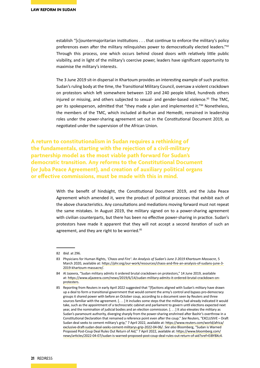establish "[c]ountermajoritarian institutions . . . that continue to enforce the military's policy preferences even after the military relinquishes power to democratically elected leaders."82 Through this process, one which occurs behind closed doors with relatively little public visibility, and in light of the military's coercive power, leaders have significant opportunity to maximise the military's interests.

The 3 June 2019 sit-in dispersal in Khartoum provides an interesting example of such practice. Sudan's ruling body at the time, the Transitional Military Council, oversaw a violent crackdown on protestors which left somewhere between 120 and 240 people killed, hundreds others injured or missing, and others subjected to sexual- and gender-based violence.<sup>83</sup> The TMC, per its spokesperson, admitted that "they made a plan and implemented it."<sup>84</sup> Nonetheless, the members of the TMC, which included al-Burhan and Hemedti, remained in leadership roles under the power-sharing agreement set out in the Constitutional Document 2019, as negotiated under the supervision of the African Union.

**A return to constitutionalism in Sudan requires a rethinking of the fundamentals, starting with the rejection of a civil-military partnership model as the most viable path forward for Sudan's democratic transition. Any reforms to the Constitutional Document (or Juba Peace Agreement), and creation of auxiliary political organs or effective commissions, must be made with this in mind.**

> With the benefit of hindsight, the Constitutional Document 2019, and the Juba Peace Agreement which amended it, were the product of political processes that exhibit each of the above characteristics. Any consultations and mediations moving forward must not repeat the same mistakes. In August 2019, the military signed on to a power-sharing agreement with civilian counterparts, but there has been no effective power-sharing in practice. Sudan's protestors have made it apparent that they will not accept a second iteration of such an agreement, and they are right to be worried.<sup>85</sup>

<sup>82</sup> *Ibid.* at 296.

<sup>83</sup> Physicians for Human Rights, *'Chaos and Fire': An Analysis of Sudan's June 3 2019 Khartoum Massacre*, 5 March 2020, available at: [https://phr.org/our-work/resources/chaos-and-fire-an-analysis-of-sudans-june-3-](https://phr.org/our-work/resources/chaos-and-fire-an-analysis-of-sudans-june-3-2019-khartoum-massacre/) [2019-khartoum-massacre/](https://phr.org/our-work/resources/chaos-and-fire-an-analysis-of-sudans-june-3-2019-khartoum-massacre/).

<sup>84</sup> Al Jazeera, "Sudan military admits it ordered brutal crackdown on protestors," 14 June 2019, available at: [https://www.aljazeera.com/news/2019/6/14/sudan-military-admits-it-ordered-brutal-crackdown-on](https://www.aljazeera.com/news/2019/6/14/sudan-military-admits-it-ordered-brutal-crackdown-on-protesters)[protesters.](https://www.aljazeera.com/news/2019/6/14/sudan-military-admits-it-ordered-brutal-crackdown-on-protesters)

<sup>85</sup> Reporting from Reuters in early April 2022 suggested that "[f]actions aligned with Sudan's military have drawn up a deal to form a transitional government that would cement the army's control and bypass pro-democracy groups it shared power with before an October coup, according to a document seen by Reuters and three sources familiar with the agreement. [. . . ] It includes some steps that the military had already indicated it would take, such as the appointment of a technocratic cabinet and parliament to govern until elections expected next year, and the nomination of judicial bodies and an election commission. [. . . ] It also elevates the military as Sudan's paramount authority, diverging sharply from the power-sharing enshrined after Bashir's overthrow in a Constitutional Declaration that remained a reference point even after the coup." *See* Reuters, "EXCLUSIVE – Draft Sudan deal seeks to cement military's grip," 7 April 2022, available at: [https://www.reuters.com/world/africa/](https://www.reuters.com/world/africa/exclusive-draft-sudan-deal-seeks-cement-militarys-grip-2022-04-06/) [exclusive-draft-sudan-deal-seeks-cement-militarys-grip-2022-04-06/](https://www.reuters.com/world/africa/exclusive-draft-sudan-deal-seeks-cement-militarys-grip-2022-04-06/). *See also* Bloomberg, "Sudan is Warned Proposed Post-Coup Deal Rules Out Return of Aid," 7 April 2022, available at: [https://www.bloomberg.com/](https://www.bloomberg.com/news/articles/2022-04-07/sudan-is-warned-proposed-post-coup-deal-rules-out-return-of-aid?sref=EiBYBXc4) [news/articles/2022-04-07/sudan-is-warned-proposed-post-coup-deal-rules-out-return-of-aid?sref=EiBYBXc4](https://www.bloomberg.com/news/articles/2022-04-07/sudan-is-warned-proposed-post-coup-deal-rules-out-return-of-aid?sref=EiBYBXc4).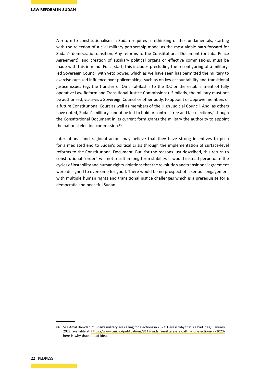A return to constitutionalism in Sudan requires a rethinking of the fundamentals, starting with the rejection of a civil-military partnership model as the most viable path forward for Sudan's democratic transition. Any reforms to the Constitutional Document (or Juba Peace Agreement), and creation of auxiliary political organs or effective commissions, must be made with this in mind. For a start, this includes precluding the reconfiguring of a militaryled Sovereign Council with veto power, which as we have seen has permitted the military to exercise outsized influence over policymaking, such as on key accountability and transitional justice issues (eg, the transfer of Omar al-Bashir to the ICC or the establishment of fully operative Law Reform and Transitional Justice Commissions). Similarly, the military must not be authorised, vis-à-vis a Sovereign Council or other body, to appoint or approve members of a future Constitutional Court as well as members of the High Judicial Council. And, as others have noted, Sudan's military cannot be left to hold or control "free and fair elections," though the Constitutional Document in its current form grants the military the authority to appoint the national election commission.<sup>86</sup>

International and regional actors may believe that they have strong incentives to push for a mediated end to Sudan's political crisis through the implementation of surface-level reforms to the Constitutional Document. But, for the reasons just described, this return to constitutional "order" will not result in long-term stability. It would instead perpetuate the cycles of instability and human rights violations that the revolution and transitional agreement were designed to overcome for good. There would be no prospect of a serious engagement with multiple human rights and transitional justice challenges which is a prerequisite for a democratic and peaceful Sudan.

<sup>86</sup> *See* Amal Hamdan, "Sudan's military are calling for elections in 2023: Here is why that's a bad idea," January 2022, available at: [https://www.cmi.no/publications/8119-sudans-military-are-calling-for-elections-in-2023](https://www.cmi.no/publications/8119-sudans-military-are-calling-for-elections-in-2023-here-is-why-thats-a-bad-idea) [here-is-why-thats-a-bad-idea.](https://www.cmi.no/publications/8119-sudans-military-are-calling-for-elections-in-2023-here-is-why-thats-a-bad-idea)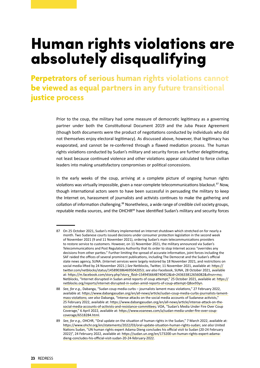# Human rights violations are absolutely disqualifying

**Perpetrators of serious human rights violations cannot be viewed as equal partners in any future transitional justice process** 

> Prior to the coup, the military had some measure of democratic legitimacy as a governing partner under both the Constitutional Document 2019 and the Juba Peace Agreement (though both documents were the product of negotiations conducted by individuals who did not themselves enjoy electoral legitimacy). As discussed above, however, that legitimacy has evaporated, and cannot be re-conferred through a flawed mediation process. The human rights violations conducted by Sudan's military and security forces are further delegitimating, not least because continued violence and other violations appear calculated to force civilian leaders into making unsatisfactory compromises or political concessions.

> In the early weeks of the coup, arriving at a complete picture of ongoing human rights violations was virtually impossible, given a near-complete telecommunications blackout.<sup>87</sup> Now, though international actors seem to have been successful in persuading the military to keep the Internet on, harassment of journalists and activists continues to make the gathering and collation of information challenging.88 Nonetheless, a wide range of credible civil society groups, reputable media sources, and the OHCHR<sup>89</sup> have identified Sudan's military and security forces

<sup>87</sup> On 25 October 2021, Sudan's military implemented an Internet shutdown which stretched on for nearly a month. Two Sudanese courts issued decisions under consumer protection legislation in the second week of November 2021 (9 and 11 November 2021), ordering Sudan's main telecommunications providers to restore service to customers. However, on 11 November 2021, the military announced via Sudan's Telecommunications and Post Regulatory Authority that its order to stop Internet access "overrides any decisions from other parties." Further limiting the spread of accurate information, joint forces including the SAF raided the offices of several prominent publications, including The Democrat and the Sudan's official state news agency, SUNA. (Internet services were largely restored by 18 November 2021, and restrictions on social media lifted by 24 November 2021.) *See* Netblocks, Twitter, 11 November 2021, available at: [https://](https://twitter.com/netblocks/status/1458903864695042053;) [twitter.com/netblocks/status/1458903864695042053;](https://twitter.com/netblocks/status/1458903864695042053;) *see also* Facebook, SUNA, 28 October 2021, available at: [https://m.facebook.com/story.php?story\\_fbid=1549456648740452&id=243633812656082&sfnsn=mo](https://m.facebook.com/story.php?story_fbid=1549456648740452&id=243633812656082&sfnsn=mo); Netblocks, "Internet disrupted in Sudan amid reports of coup attempt," 25 October 2021, available at: [https://](https://netblocks.org/reports/internet-disrupted-in-sudan-amid-reports-of-coup-attempt-Q8ov93yn) [netblocks.org/reports/internet-disrupted-in-sudan-amid-reports-of-coup-attempt-Q8ov93yn](https://netblocks.org/reports/internet-disrupted-in-sudan-amid-reports-of-coup-attempt-Q8ov93yn).

<sup>88</sup> *See, for e.g.,* Dabanga, "Sudan coup media curbs – journalists lament mass violations," 27 February 2022, available at: [https://www.dabangasudan.org/en/all-news/article/sudan-coup-media-curbs-journalists-lament](https://www.dabangasudan.org/en/all-news/article/sudan-coup-media-curbs-journalists-lament-mass-violations)[mass-violations;](https://www.dabangasudan.org/en/all-news/article/sudan-coup-media-curbs-journalists-lament-mass-violations) *see also* Dabanga, "Intense attacks on the social media accounts of Sudanese activists," 25 February 2022, available at: [https://www.dabangasudan.org/en/all-news/article/intense-attack-on-the](https://www.dabangasudan.org/en/all-news/article/intense-attack-on-the-social-media-accounts-of-activists-and-resistance-committees)[social-media-accounts-of-activists-and-resistance-committees](https://www.dabangasudan.org/en/all-news/article/intense-attack-on-the-social-media-accounts-of-activists-and-resistance-committees)*;* VOA, "Sudan's Media Under Fire Over Coup Coverage," 6 April 2022, available at: [https://www.voanews.com/a/sudan-media-under-fire-over-coup](https://www.voanews.com/a/sudan-media-under-fire-over-coup-coverage/6518284.html)[coverage/6518284.html](https://www.voanews.com/a/sudan-media-under-fire-over-coup-coverage/6518284.html).

<sup>89</sup> *See, for e.g.,* OHCHR, "Oral update on the situation of human rights in the Sudan," 7 March 2022, available at: <https://www.ohchr.org/en/statements/2022/03/oral-update-situation-human-rights-sudan>; *see also* United Nations Sudan, "UN human rights expert Adama Dieng concludes his official visit to Sudan (20-24 February 2022)", 24 February 2022, available at: [https://sudan.un.org/en/173200-un-human-rights-expert-adama](https://sudan.un.org/en/173200-un-human-rights-expert-adama-dieng-concludes-his-official-visit-sudan-20-24-february-2022)[dieng-concludes-his-official-visit-sudan-20-24-february-2022](https://sudan.un.org/en/173200-un-human-rights-expert-adama-dieng-concludes-his-official-visit-sudan-20-24-february-2022).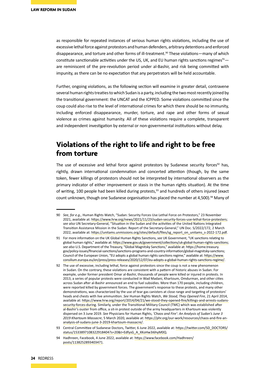as responsible for repeated instances of serious human rights violations, including the use of excessive lethal force against protestors and human defenders, arbitrary detentions and enforced disappearance, and torture and other forms of ill-treatment.<sup>90</sup> These violations—many of which constitute sanctionable activities under the US, UK, and EU human rights sanctions regimes<sup>91</sup> are reminiscent of the pre-revolution period under al-Bashir, and risk being committed with impunity, as there can be no expectation that any perpetrators will be held accountable.

Further, ongoing violations, as the following section will examine in greater detail, contravene several human rights treaties to which Sudan is a party, including the two most recently joined by the transitional government: the UNCAT and the ICPPED. Some violations committed since the coup could also rise to the level of international crimes for which there should be no immunity, including enforced disappearance, murder, torture, and rape and other forms of sexual violence as crimes against humanity. All of these violations require a complete, transparent and independent investigation by external or non-governmental institutions without delay.

### **Violations of the right to life and right to be free from torture**

The use of excessive and lethal force against protestors by Sudanese security forces $92$  has, rightly, drawn international condemnation and concerted attention (though, by the same token, fewer killings of protestors should not be interpreted by international observers as the primary indicator of either improvement or stasis in the human rights situation). At the time of writing, 100 people had been killed during protests.<sup>93</sup> and hundreds of others injured (exact count unknown, though one Sudanese organisation has placed the number at 4,500).<sup>94</sup> Many of

<sup>90</sup> *See, for e.g.,* Human Rights Watch, "Sudan: Security Forces Use Lethal Force on Protestors," 23 November 2021, available at:<https://www.hrw.org/news/2021/11/23/sudan-security-forces-use-lethal-force-protesters>; *see also* UN Secretary-General, "Situation in the Sudan and the activities of the United Nations Integrated Transition Assistance Mission in the Sudan: Report of the Secretary-General," UN Doc. S/2022/172, 2 March 2022, available at: [https://unitams.unmissions.org/sites/default/files/sg\\_report\\_on\\_unitams\\_s-2022-172.pdf](https://unitams.unmissions.org/sites/default/files/sg_report_on_unitams_s-2022-172.pdf).

<sup>91</sup> For more information on the UK Global Human Rights Sanctions, *see* UK Government, "UK sanctions relating to global human rights," available at: [https://www.gov.uk/government/collections/uk-global-human-rights-sanctions;](https://www.gov.uk/government/collections/uk-global-human-rights-sanctions) *see also* U.S. Department of the Treasury, "Global Magnitsky Sanctions," available at: https://home.treasury. gov/policy-issues/financial-sanctions/sanctions-programs-and-country-information/global-magnitsky-sanctions; Council of the European Union, "EU adopts a global human rights sanctions regime," available at: [https://www.](https://www.consilium.europa.eu/en/press/press-releases/2020/12/07/eu-adopts-a-global-human-rights-sanctions-regime/) [consilium.europa.eu/en/press/press-releases/2020/12/07/eu-adopts-a-global-human-rights-sanctions-regime/](https://www.consilium.europa.eu/en/press/press-releases/2020/12/07/eu-adopts-a-global-human-rights-sanctions-regime/).

<sup>92</sup> The use of excessive, including lethal, force against protestors since the coup is not a new phenomenon in Sudan. On the contrary, these violations are consistent with a pattern of historic abuses in Sudan. For example, under former president Omar al-Bashir, thousands of people were killed or injured in protests. In 2013, a series of popular protests were conducted in Wad Madani, Khartoum, Omdurman, and other cities across Sudan after al-Bashir announced an end to fuel subsidies. More than 170 people, including children, were reported killed by government forces. The government's response to these protests, and many other demonstrations, was characterized by the use of tear gas canisters at close range and targeting of protestors' heads and chests with live ammunition. *See* Human Rights Watch, *We Stood, They Opened Fire*, 21 April 2014, available at: [https://www.hrw.org/report/2014/04/21/we-stood-they-opened-fire/killings-and-arrests-sudans](https://www.hrw.org/report/2014/04/21/we-stood-they-opened-fire/killings-and-arrests-sudans-security-forces-during)[security-forces-during](https://www.hrw.org/report/2014/04/21/we-stood-they-opened-fire/killings-and-arrests-sudans-security-forces-during). Similarly, under the Transitional Military Council (TMC) which was established after al-Bashir's ouster from office, a sit-in protest outside of the army headquarters in Khartoum was violently dispersed on 3 June 2019. *See* Physicians for Human Rights, *'Chaos and Fire': An Analysis of Sudan's June 3 2019 Khartoum Massacre*, 5 March 2020, available at: [https://phr.org/our-work/resources/chaos-and-fire-an](https://phr.org/our-work/resources/chaos-and-fire-an-analysis-of-sudans-june-3-2019-khartoum-massacre/)[analysis-of-sudans-june-3-2019-khartoum-massacre/](https://phr.org/our-work/resources/chaos-and-fire-an-analysis-of-sudans-june-3-2019-khartoum-massacre/).

<sup>93</sup> Central Committee of Sudanese Doctors, Twitter, 6 June 2022, available at: [https://twitter.com/SD\\_DOCTORS/](https://twitter.com/SD_DOCTORS/status/1533897108322918404?s=20&t=EdfysG_A_XKoHw3i6hyM0Q) [status/1533897108322918404?s=20&t=EdfysG\\_A\\_XKoHw3i6hyM0Q](https://twitter.com/SD_DOCTORS/status/1533897108322918404?s=20&t=EdfysG_A_XKoHw3i6hyM0Q).

<sup>94</sup> Hadhreen, Facebook, 4 June 2022, available at: https://www.facebook.com/Hadhreen/ posts/1138252893403471.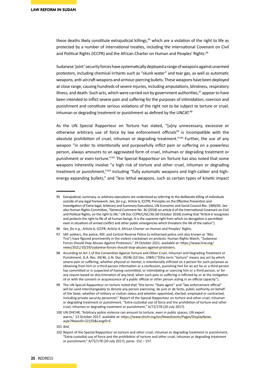these deaths likely constitute extrajudicial killings,<sup>95</sup> which are a violation of the right to life as protected by a number of international treaties, including the International Covenant on Civil and Political Rights (ICCPR) and the African Charter on Human and Peoples' Rights.<sup>96</sup>

Sudanese 'joint' security forces have systematically deployed a range of weapons against unarmed protestors, including chemical irritants such as "skunk water" and tear gas, as well as automatic weapons, anti-aircraft weapons and armour-piercing bullets. These weapons have been deployed at close range, causing hundreds of severe injuries, including amputations, blindness, respiratory illness, and death. Such acts, which were carried out by government authorities,<sup>97</sup> appear to have been intended to inflict severe pain and suffering for the purposes of intimidation, coercion and punishment and constitute serious violations of the right not to be subject to torture or cruel, inhuman or degrading treatment or punishment as defined by the UNCAT.<sup>98</sup>

As the UN Special Rapporteur on Torture has stated, "[a]ny unnecessary, excessive or otherwise arbitrary use of force by law enforcement officials<sup>99</sup> is incompatible with the absolute prohibition of cruel, inhuman or degrading treatment." $100$  Further, the use of any weapon "in order to intentionally and purposefully inflict pain or suffering on a powerless person, always amounts to an aggravated form of cruel, inhuman or degrading treatment or punishment or even torture."101 The Special Rapporteur on Torture has also noted that some weapons inherently involve "a high risk of torture and other cruel, inhuman or degrading treatment or punishment,"<sup>102</sup> including "fully automatic weapons and high-caliber and highenergy expanding bullets," and "less lethal weapons, such as certain types of kinetic impact

<sup>95</sup> Extrajudicial, summary, or arbitrary executions are understood as referring to the deliberate killing of individuals outside of any legal framework. *See, for e.g.,* Article 6, ICCPR; Principles on the Effective Prevention and Investigation of Extra-legal, Arbitrary and Summary Executions, UN Economic and Social Council Res. 1989/65. *See also* Human Rights Committee, "General Comment No. 36 (2018) on article 6 of the International Covenant on Civil and Political Rights, on the right to life," UN Doc CCPR/C/GC/36 (30 October 2018) (noting that "Article 6 recognizes and protects the right to life of all human beings. It is the supreme right from which no derogation is permitted even in situations of armed conflict and other public emergencies which threatens the life of the nation").

<sup>96</sup> *See, for e.g.,* Article 6, ICCPR; Article 4, African Charter on Human and Peoples' Rights.

<sup>97</sup> SAF soldiers, the police, RSF, and Central Reserve Police (a militarised police unit also known as "Abu Tira") have figured prominently in the violent crackdown on protests. Human Rights Watch, "Sudanese Forces Should Stop Abuses Against Protestors," 29 October 2021, available at: [https://www.hrw.org/](https://www.hrw.org/news/2021/10/29/sudanese-forces-should-stop-abuses-against-protesters) [news/2021/10/29/sudanese-forces-should-stop-abuses-against-protesters](https://www.hrw.org/news/2021/10/29/sudanese-forces-should-stop-abuses-against-protesters).

<sup>98</sup> According to Art 1 of the Convention Against Torture and Other Cruel, Inhuman and Degrading Treatment or Punishment, G.A. Res. 39/46, U.N. Doc. 39/46 (10 Dec. 1984) ("[t]he term "torture" means any act by which severe pain or suffering, whether physical or mental, is intentionally inflicted on a person for such purposes as obtaining from him or a third person information or a confession, punishing him for an act he or a third person has committed or is suspected of having committed, or intimidating or coercing him or a third person, or for any reason based on discrimination of any kind, when such pain or suffering is inflicted by or at the instigation of or with the consent or acquiescence of a public official or other person acting in an official capacity").

<sup>99</sup> The UN Special Rapporteur on torture noted that "the terms "State agent" and "law enforcement official" will be used interchangeably to denote any person exercising, de jure or de facto, public authority on behalf of the State, whether of military or civilian status and whether appointed, elected, employed or contracted, including private security personnel." Report of the Special Rapporteur on torture and other cruel, inhuman or degrading treatment or punishment, "Extra-custodial use of force and the prohibition of torture and other cruel, inhuman or degrading treatment or punishment," A/72/178 (20 July 2017).

<sup>100</sup> UN OHCHR, "Arbitrary police violence can amount to torture, even in public spaces, UN expert warns," 13 October 2017, available at: [https://www.ohchr.org/en/NewsEvents/Pages/DisplayNews.](https://www.ohchr.org/en/NewsEvents/Pages/DisplayNews.aspx?NewsID=22235&LangID=E) [aspx?NewsID=22235&LangID=E](https://www.ohchr.org/en/NewsEvents/Pages/DisplayNews.aspx?NewsID=22235&LangID=E).

<sup>101</sup> *Ibid.*

<sup>102</sup> Report of the Special Rapporteur on torture and other cruel, inhuman or degrading treatment or punishment, "Extra-custodial use of force and the prohibition of torture and other cruel, inhuman or degrading treatment or punishment," A/72/178 (20 July 2017), paras. 152 – 157.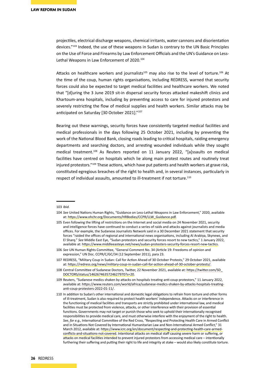projectiles, electrical discharge weapons, chemical irritants, water cannons and disorientation devices."103 Indeed, the use of these weapons in Sudan is contrary to the UN Basic Principles on the Use of Force and Firearms by Law Enforcement Officials and the UN's Guidance on Less-Lethal Weapons in Law Enforcement of 2020.<sup>104</sup>

Attacks on healthcare workers and journalists<sup>105</sup> may also rise to the level of torture.<sup>106</sup> At the time of the coup, human rights organisations, including REDRESS, warned that security forces could also be expected to target medical facilities and healthcare workers. We noted that "[d]uring the 3 June 2019 sit-in dispersal security forces attacked makeshift clinics and Khartoum-area hospitals, including by preventing access to care for injured protestors and severely restricting the flow of medical supplies and health workers. Similar attacks may be anticipated on Saturday [30 October 2021]."<sup>107</sup>

Bearing out these warnings, security forces have consistently targeted medical facilities and medical professionals in the days following 25 October 2021, including by preventing the work of the National Blood Bank, closing roads leading to critical hospitals, raiding emergency departments and searching doctors, and arresting wounded individuals while they sought medical treatment.108 As Reuters reported on 11 January 2022, "[a]ssaults on medical facilities have centred on hospitals which lie along main protest routes and routinely treat injured protestors."109 These actions, which have put patients and health workers at grave risk, constituted egregious breaches of the right to health and, in several instances, particularly in respect of individual assaults, amounted to ill-treatment if not torture.<sup>110</sup>

<sup>103</sup> *Ibid.*

<sup>104</sup> *See* United Nations Human Rights, "Guidance on Less-Lethal Weapons in Law Enforcement," 2020, available at: [https://www.ohchr.org/Documents/HRBodies/CCPR/LLW\\_Guidance.pdf](https://www.ohchr.org/Documents/HRBodies/CCPR/LLW_Guidance.pdf).

<sup>105</sup> Even following the lifting of restrictions on the Internet and social media on 24 November 2021, security and intelligence forces have continued to conduct a series of raids and attacks against journalists and media offices. For example, the Sudanese Journalists Network said in a 30 December 2021 statement that security forces "raided the offices of regional and international news organisations, including Al Arabiya, Skynews, and El Sharq." *See* Middle East Eye, "Sudan protestors and security forces resort to new tactics," 1 January 2022, available at: <https://www.middleeasteye.net/news/sudan-protesters-security-forces-resort-new-tactics>.

<sup>106</sup> *See* UN Human Rights Committee, "General Comment No. 34 (Article 19: Freedoms of opinion and expression," UN Doc. CCPR/C/GC/34 (12 September 2011), para 23.

<sup>107</sup> REDRESS, "Military Coup in Sudan: Call for Action Ahead of 30 October Protests," 29 October 2021, available at: <https://redress.org/news/military-coup-in-sudan-call-for-action-ahead-of-30-october-protests/>.

<sup>108</sup> Central Committee of Sudanese Doctors, Twitter, 22 November 2021, available at: [https://twitter.com/SD\\_](https://twitter.com/SD_DOCTORS/status/1462674635724627970?s=20) [DOCTORS/status/1462674635724627970?s=20](https://twitter.com/SD_DOCTORS/status/1462674635724627970?s=20).

<sup>109</sup> Reuters, "Sudanese medics shaken by attacks on hospitals treating anti-coup protestors," 11 January 2022, available at: [https://www.reuters.com/world/africa/sudanese-medics-shaken-by-attacks-hospitals-treating](https://www.reuters.com/world/africa/sudanese-medics-shaken-by-attacks-hospitals-treating-anti-coup-protesters-2022-01-11/)[anti-coup-protesters-2022-01-11/](https://www.reuters.com/world/africa/sudanese-medics-shaken-by-attacks-hospitals-treating-anti-coup-protesters-2022-01-11/).

<sup>110</sup> In addition to Sudan's other international and domestic legal obligations to refrain from torture and other forms of ill-treatment, Sudan is also required to protect health workers' independence. Attacks on or interference in the functioning of medical facilities and transports are strictly prohibited under international law, and medical facilities must be protected from violence, attacks, or other interference with their provision of essential functions. Governments may not target or punish those who seek to uphold their internationally recognised responsibilities to provide medical care, and must otherwise interfere with the enjoyment of the right to health. *See*, *for e.g.,* International Committee of the Red Cross, "Respecting and Protecting Health Care in Armed Conflict and in Situations Not Covered by International Humanitarian Law and Non-International Armed Conflict," 31 March 2012, available at: [https://www.icrc.org/en/document/respecting-and-protecting-health-care-armed](https://www.icrc.org/en/document/respecting-and-protecting-health-care-armed-conflicts-and-situations-not-covered)[conflicts-and-situations-not-covered](https://www.icrc.org/en/document/respecting-and-protecting-health-care-armed-conflicts-and-situations-not-covered). Intentional attacks on medical staff causing severe harm or suffering, or attacks on medical facilities intended to prevent injured protestors from accessing medical care – intentionally furthering their suffering and putting their right to life and integrity at stake – would also likely constitute torture.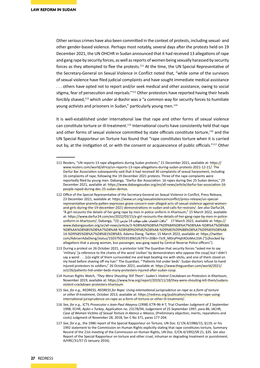Other serious crimes have also been committed in the context of protests, including sexual- and other gender-based violence. Perhaps most notably, several days after the protests held on 19 December 2021, the UN OHCHR in Sudan announced that it had received 13 allegations of rape and gang rape by security forces, as well as reports of women being sexually harassed by security forces as they attempted to flee the protests.<sup>111</sup> At the time, the UN Special Representative of the Secretary-General on Sexual Violence in Conflict noted that, "while some of the survivors of sexual violence have filed judicial complaints and have sought immediate medical assistance . . . others have opted not to report and/or seek medical and other assistance, owing to social stigma, fear of persecution and reprisals."<sup>112</sup> Other protestors have reported having their heads forcibly shaved,<sup>113</sup> which under al-Bashir was a "a common way for security forces to humiliate young activists and prisoners in Sudan," particularly young men.<sup>114</sup>

It is well-established under international law that rape and other forms of sexual violence can constitute torture or ill-treatment.<sup>115</sup> International courts have consistently held that rape and other forms of sexual violence committed by state officials constitute torture,<sup>116</sup> and the UN Special Rapporteur on Torture has found that "rape constitutes torture when it is carried out by, at the instigation of, or with the consent or acquiescence of public officials."117 Other

- 114 Human Rights Watch, *'They Were Shouting 'Kill Them': Sudan's Violent Crackdown on Protestors in Khartoum*, November 2019, available at: [https://www.hrw.org/report/2019/11/18/they-were-shouting-kill-them/sudans](https://www.hrw.org/report/2019/11/18/they-were-shouting-kill-them/sudans-violent-crackdown-protesters-khartoum)[violent-crackdown-protesters-khartoum](https://www.hrw.org/report/2019/11/18/they-were-shouting-kill-them/sudans-violent-crackdown-protesters-khartoum).
- 115 *See, for e.g.,* REDRESS, *REDRESS for Rape: Using international jurisprudence on rape as a form of torture or other ill-treatment*, October 2013, available at: [https://redress.org/publication/redress-for-rape-using](https://redress.org/publication/redress-for-rape-using-international-jurisprudence-on-rape-as-a-form-of-torture-or-other-ill-treatment/)[international-jurisprudence-on-rape-as-a-form-of-torture-or-other-ill-treatment/](https://redress.org/publication/redress-for-rape-using-international-jurisprudence-on-rape-as-a-form-of-torture-or-other-ill-treatment/).
- 116 *See, for e.g.,* ICTY, *Prosecutor v Jean-Paul Akayesu* (1998) ICTR-96-4-T, Trial Chamber Judgment of 2 September 1998; ECHR, *Aydın v Turkey*, Application no. 23178/94, Judgement of 25 September 1997, para 86; IACHR, *Case of Women Victims of Sexual Torture in Atenco v. Mexico*, (Preliminary objection, merits, reparations and costs) Judgment of November 28, 2018, Ser C No 371, paras 177-204.
- 117 *See, for e.g.,* the 1986 report of the Special Rapporteur on Torture, UN Doc. E/ CN.4/1986/15, §119; or his 1992 statement to the Commission on Human Rights explicitly stating that rape constitutes torture, Summary Record of the 21st meeting of the Commission on Human Rights, UN Doc. E/CN.4/1992/SR.21, §35. *See also* Report of the Special Rapporteur on torture and other cruel, inhuman or degrading treatment or punishment, A/HRC/31/57 (5 January 2016).

<sup>111</sup> Reuters, "UN reports 13 rape allegations during Sudan protests," 21 December 2021, available at: [https://](https://www.reuters.com/world/africa/un-reports-13-rape-allegations-during-sudan-protests-2021-12-21/) [www.reuters.com/world/africa/un-reports-13-rape-allegations-during-sudan-protests-2021-12-21/](https://www.reuters.com/world/africa/un-reports-13-rape-allegations-during-sudan-protests-2021-12-21/). The Darfur Bar Association subsequently said that it had received 30 complaints of sexual harassment, including 16 complaints of rape, following the 19 December 2021 protests. Three of the rape complaints were reportedly filed by young men. Dabanga, "Darfur Bar Association: 16 rapes during Dec 25 Sudan demos," 29 December 2021, available at: [https://www.dabangasudan.org/en/all-news/article/darfur-bar-association-16](https://www.dabangasudan.org/en/all-news/article/darfur-bar-association-16-people-raped-during-dec-25-sudan-demos) [people-raped-during-dec-25-sudan-demos](https://www.dabangasudan.org/en/all-news/article/darfur-bar-association-16-people-raped-during-dec-25-sudan-demos).

<sup>112</sup> Office of the Special Representative of the Secretary-General on Sexual Violence in Conflict, Press Release, 23 December 2021, available at: [https://www.un.org/sexualviolenceinconflict/press-release/un-special](https://www.un.org/sexualviolenceinconflict/press-release/un-special-representative-pramila-patten-expresses-grave-concern-over-alleged-acts-of-sexual-violence-against-women-and-girls-during-the-19-december-2021-demonstrations-in-sudan-and-calls-for-restrain/)[representative-pramila-patten-expresses-grave-concern-over-alleged-acts-of-sexual-violence-against-women](https://www.un.org/sexualviolenceinconflict/press-release/un-special-representative-pramila-patten-expresses-grave-concern-over-alleged-acts-of-sexual-violence-against-women-and-girls-during-the-19-december-2021-demonstrations-in-sudan-and-calls-for-restrain/)[and-girls-during-the-19-december-2021-demonstrations-in-sudan-and-calls-for-restrain/](https://www.un.org/sexualviolenceinconflict/press-release/un-special-representative-pramila-patten-expresses-grave-concern-over-alleged-acts-of-sexual-violence-against-women-and-girls-during-the-19-december-2021-demonstrations-in-sudan-and-calls-for-restrain/). *See also* Darfur24, "A girl recounts the details of her gang rape by men in police uniform in Khartoum," 15 March 2022, available at: [https://www.darfur24.com/en/2022/03/15/a-girl-recounts-the-details-of-her-gang-rape-by-men-in-police](https://www.darfur24.com/en/2022/03/15/a-girl-recounts-the-details-of-her-gang-rape-by-men-in-police-uniform-in-khartoum/)[uniform-in-khartoum/;](https://www.darfur24.com/en/2022/03/15/a-girl-recounts-the-details-of-her-gang-rape-by-men-in-police-uniform-in-khartoum/) Dabanga, "(3) **مارس** 14 **مواكب عقب اغتصاب حاالت** "17 March 2022, available at: [https://](https://www.dabangasudan.org/ar/all-news/article/3-%D8%AD%D8%A7%D9%84%D8%A7%D8%AA-%D8%A7%D8%BA%D8%AA%D8%B5%D8%A7%D8%A8-%D8%B9%D9%82%D8%A8-%D9%85%D9%88%D8%A7%D9%83%D8%A8-14-%D9%85%D8%A7%D8%B1%D8%B3) [www.dabangasudan.org/ar/all-news/article/3-%D8%AD%D8%A7%D9%84%D8%A7%D8%AA-%D8%A7%D8%BA](https://www.dabangasudan.org/ar/all-news/article/3-%D8%AD%D8%A7%D9%84%D8%A7%D8%AA-%D8%A7%D8%BA%D8%AA%D8%B5%D8%A7%D8%A8-%D8%B9%D9%82%D8%A8-%D9%85%D9%88%D8%A7%D9%83%D8%A8-14-%D9%85%D8%A7%D8%B1%D8%B3) [%D8%AA%D8%B5%D8%A7%D8%A8-%D8%B9%D9%82%D8%A8-%D9%85%D9%88%D8%A7%D9%83%D8%A8-](https://www.dabangasudan.org/ar/all-news/article/3-%D8%AD%D8%A7%D9%84%D8%A7%D8%AA-%D8%A7%D8%BA%D8%AA%D8%B5%D8%A7%D8%A8-%D8%B9%D9%82%D8%A8-%D9%85%D9%88%D8%A7%D9%83%D8%A8-14-%D9%85%D8%A7%D8%B1%D8%B3) [14-%D9%85%D8%A7%D8%B1%D8%B3](https://www.dabangasudan.org/ar/all-news/article/3-%D8%AD%D8%A7%D9%84%D8%A7%D8%AA-%D8%A7%D8%BA%D8%AA%D8%B5%D8%A7%D8%A8-%D8%B9%D9%82%D8%A8-%D9%85%D9%88%D8%A7%D9%83%D8%A8-14-%D9%85%D8%A7%D8%B1%D8%B3); Adama Dieng, Twitter, 15 March 2022, available at: [https://twitter.](https://twitter.com/AdviserAdaDieng/status/1503792933530652679?s=20&t=7JcR_M0ryPHqhXOoMvL33A) [com/AdviserAdaDieng/status/1503792933530652679?s=20&t=7JcR\\_M0ryPHqhXOoMvL33A](https://twitter.com/AdviserAdaDieng/status/1503792933530652679?s=20&t=7JcR_M0ryPHqhXOoMvL33A) ("[s]hocked by allegations that a young woman, bus passenger, was gang raped by Central Reserve Police officers").

<sup>113</sup> During a protest on 26 October 2021, a protestor told The Guardian that security forces "asked me to say 'military' [a reference to the chants of the word 'civilian' by demonstrators who oppose the coup] but I didn't say a word . . . [s]o eight of them surrounded me and kept beating me with sticks, and one of them stood on my head before shaving off my hair." The Guardian, "'Patients hid under beds': Sudan doctors refuse to hand injured protestors to soldiers," 26 October 2021, available at: [https://www.theguardian.com/world/2021/](https://www.theguardian.com/world/2021/oct/26/patients-hid-under-beds-many-protesters-injured-after-sudan-coup) [oct/26/patients-hid-under-beds-many-protesters-injured-after-sudan-coup](https://www.theguardian.com/world/2021/oct/26/patients-hid-under-beds-many-protesters-injured-after-sudan-coup).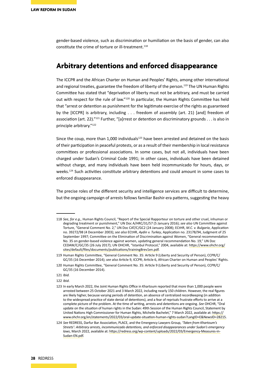gender-based violence, such as discrimination or humiliation on the basis of gender, can also constitute the crime of torture or ill-treatment.<sup>118</sup>

### **Arbitrary detentions and enforced disappearance**

The ICCPR and the African Charter on Human and Peoples' Rights, among other international and regional treaties, guarantee the freedom of liberty of the person.<sup>119</sup> The UN Human Rights Committee has stated that "deprivation of liberty must not be arbitrary, and must be carried out with respect for the rule of law."<sup>120</sup> In particular, the Human Rights Committee has held that "arrest or detention as punishment for the legitimate exercise of the rights as guaranteed by the [ICCPR] is arbitrary, including . . . freedom of assembly (art. 21) [and] freedom of association (art. 22)."<sup>121</sup> Further, "[a]rrest or detention on discriminatory grounds . . . is also in principle arbitrary."<sup>122</sup>

Since the coup, more than  $1,000$  individuals<sup>123</sup> have been arrested and detained on the basis of their participation in peaceful protests, or as a result of their membership in local resistance committees or professional associations. In some cases, but not all, individuals have been charged under Sudan's Criminal Code 1991; in other cases, individuals have been detained without charge, and many individuals have been held incommunicado for hours, days, or weeks.<sup>124</sup> Such activities constitute arbitrary detentions and could amount in some cases to enforced disappearance.

The precise roles of the different security and intelligence services are difficult to determine, but the ongoing campaign of arrests follows familiar Bashir-era patterns, suggesting the heavy

122 *Ibid.*

<sup>118</sup> *See, for e.g.,* Human Rights Council, "Report of the Special Rapporteur on torture and other cruel, inhuman or degrading treatment or punishment," UN Doc A/HRC/31/57 (5 January 2016); *see also* UN Committee against Torture, "General Comment No. 2," UN Doc CAT/C/GC2 (24 January 2008); ECtHR, *M.C. v. Bulgaria*, Application no. 39272/98 (4 December 2003); *see also* ECtHR, *Aydin v. Turkey*, Application no. 23178/94, Judgment of 25 September 1997; Committee on the Elimination of Discrimination against Women, "General recommendation No. 35 on gender-based violence against women, updating general recommendation No. 19," UN Doc CEDAW/C/GC/35 (26 July 2017); UN OHCHR, "Istanbul Protocol," 2004, available at: [https://www.ohchr.org/](https://www.ohchr.org/sites/default/files/documents/publications/training8rev1en.pdf) [sites/default/files/documents/publications/training8rev1en.pdf](https://www.ohchr.org/sites/default/files/documents/publications/training8rev1en.pdf).

<sup>119</sup> Human Rights Committee, "General Comment No. 35: Article 9 (Liberty and Security of Person), CCPR/C/ GC/35 (16 December 2014); *see also* Article 9, ICCPR; Article 6, African Charter on Human and Peoples' Rights.

<sup>120</sup> Human Rights Committee, "General Comment No. 35: Article 9 (Liberty and Security of Person), CCPR/C/ GC/35 (16 December 2014).

<sup>121</sup> *Ibid.*

<sup>123</sup> In early March 2022, the Joint Human Rights Office in Khartoum reported that more than 1,000 people were arrested between 25 October 2021 and 3 March 2022, including nearly 150 children. However, the real figures are likely higher, because varying periods of detention, an absence of centralized recordkeeping (in addition to the widespread practice of state denial of detentions), and a fear of reprisals frustrate efforts to arrive at a complete picture of the problem. At the time of writing, arrests and detentions are ongoing. *See* OHCHR, "Oral update on the situation of human rights in the Sudan: 49th Session of the Human Rights Council, Statement by United Nations High Commissioner for Human Rights, Michelle Bachelet," 7 March 2022, available at: https:// www.ohchr.org/en/statements/2022/03/oral-update-situation-human-rights-sudan?LangID=E&NewsID=28215.

<sup>124</sup> *See* REDRESS, Darfur Bar Association, PLACE, and the Emergency Lawyers Group, *'Taken from Khartoum's Streets': Arbitrary arrests, incommunicado detentions, and enforced disappearances under Sudan's emergency laws*, March 2022, available at: [https://redress.org/wp-content/uploads/2022/03/Emergency-Measures-in-](https://redress.org/wp-content/uploads/2022/03/Emergency-Measures-in-Sudan-EN.pdf)[Sudan-EN.pdf](https://redress.org/wp-content/uploads/2022/03/Emergency-Measures-in-Sudan-EN.pdf).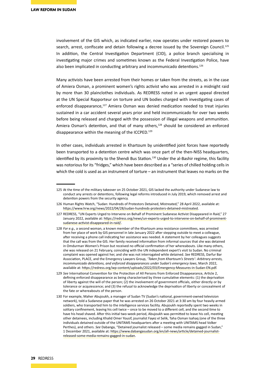involvement of the GIS which, as indicated earlier, now operates under restored powers to search, arrest, confiscate and detain following a decree issued by the Sovereign Council.<sup>125</sup> In addition, the Central Investigation Department (CID), a police branch specialising in investigating major crimes and sometimes known as the Federal Investigation Police, have also been implicated in conducting arbitrary and incommunicado detentions.<sup>126</sup>

Many activists have been arrested from their homes or taken from the streets, as in the case of Amiera Osman, a prominent women's rights activist who was arrested in a midnight raid by more than 30 plainclothes individuals. As REDRESS noted in an urgent appeal directed at the UN Special Rapporteur on torture and UN bodies charged with investigating cases of enforced disappearance,<sup>127</sup> Amiera Osman was denied medication needed to treat injuries sustained in a car accident several years prior and held incommunicado for over two weeks before being released and charged with the possession of illegal weapons and ammunition. Amiera Osman's detention, and that of many others,<sup>128</sup> should be considered an enforced disappearance within the meaning of the ICCPED.<sup>129</sup>

In other cases, individuals arrested in Khartoum by unidentified joint forces have reportedly been transported to a detention centre which was once part of the then-NISS headquarters, identified by its proximity to the Shendi Bus Station.<sup>130</sup> Under the al-Bashir regime, this facility was notorious for its "fridges," which have been described as a "series of chilled holding cells in which the cold is used as an instrument of torture – an instrument that leaves no marks on the

<sup>125</sup> At the time of the military takeover on 25 October 2021, GIS lacked the authority under Sudanese law to conduct any arrests or detentions, following legal reforms introduced in July 2019, which removed arrest and detention powers from the security agency.

<sup>126</sup> Human Rights Watch, "Sudan: Hundreds of Protestors Detained, Mistreated," 28 April 2022, available at: https://www.hrw.org/news/2022/04/28/sudan-hundreds-protesters-detained-mistreated.

<sup>127</sup> REDRESS, "UN Experts Urged to Intervene on Behalf of Prominent Sudanese Activist Disappeared in Raid," 27 January 2022, available at: [https://redress.org/news/un-experts-urged-to-intervene-on-behalf-of-prominent](https://redress.org/news/un-experts-urged-to-intervene-on-behalf-of-prominent-sudanese-activist-disappeared-in-raid/)[sudanese-activist-disappeared-in-raid/](https://redress.org/news/un-experts-urged-to-intervene-on-behalf-of-prominent-sudanese-activist-disappeared-in-raid/).

<sup>128</sup> *For e.g.,* a second woman, a known member of the Khartoum area resistance committees, was arrested from her place of work by GIS personnel in late January 2022 after stepping outside to meet a colleague, after receiving a phone call indicating her assistance was needed. A statement by her colleagues suggests that the call was from the GIS. Her family received information from informal sources that she was detained in Omdurman Women's Prison but received no official confirmation of her whereabouts. Like many others, she was released on 21 February, coinciding with the UN independent expert's visit to Sudan. No criminal complaint was opened against her, and she was not interrogated while detained. *See* REDRESS, Darfur Bar Association, PLACE, and the Emergency Lawyers Group, *'Taken from Khartoum's Streets': Arbitrary arrests, incommunicado detentions, and enforced disappearances under Sudan's emergency laws*, March 2022, available at: <https://redress.org/wp-content/uploads/2022/03/Emergency-Measures-in-Sudan-EN.pdf>.

<sup>129</sup> *See* International Convention for the Protection of All Persons from Enforced Disappearance, Article 2, defining enforced disappearance as being characterised by three cumulative elements: (1) the deprivation of liberty against the will of the person; (2) the involvement of government officials, either directly or by tolerance or acquiescence; and (3) the refusal to acknowledge the deprivation of liberty or concealment of the fate or whereabouts of the person.

<sup>130</sup> For example, Maher Abujoukh, a manager of Sudan TV (Sudan's national, government-owned television network), told a Sudanese paper that he was arrested on 26 October 2021 at 3:30 am by four heavily armed soldiers, who transported him to the intelligence services facility. Abujoukh reportedly spent two weeks in solitary confinement, leaving his cell twice – once to be moved to a different cell, and the second time to have his head shaved. After this initial two-week period, Abujoukh was permitted to leave his cell, meeting other detainees, including Khalid Omer Yousif, journalist Fayez el Selik, Taha Osman Isahaq (one of the three individuals detained outside of the UNITAMS headquarters after a meeting with UNITAMS head Volker Perthes), and others. *See* Dabanga, "Detained journalist released – some media remains gagged in Sudan," 1 December 2021, available at: [https://www.dabangasudan.org/en/all-news/article/detained-journalist](https://www.dabangasudan.org/en/all-news/article/detained-journalist-released-some-media-remains-gagged-in-sudan)[released-some-media-remains-gagged-in-sudan](https://www.dabangasudan.org/en/all-news/article/detained-journalist-released-some-media-remains-gagged-in-sudan).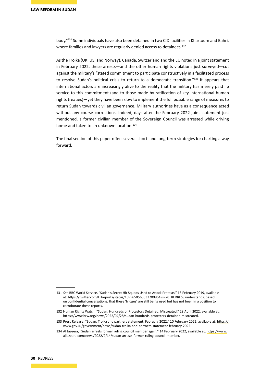body."131 Some individuals have also been detained in two CID facilities in Khartoum and Bahri, where families and lawyers are regularly denied access to detainees.<sup>132</sup>

As the Troika (UK, US, and Norway), Canada, Switzerland and the EU noted in a joint statement in February 2022, these arrests—and the other human rights violations just surveyed—cut against the military's "stated commitment to participate constructively in a facilitated process to resolve Sudan's political crisis to return to a democratic transition."<sup>133</sup> It appears that international actors are increasingly alive to the reality that the military has merely paid lip service to this commitment (and to those made by ratification of key international human rights treaties)—yet they have been slow to implement the full possible range of measures to return Sudan towards civilian governance. Military authorities have as a consequence acted without any course corrections. Indeed, days after the February 2022 joint statement just mentioned, a former civilian member of the Sovereign Council was arrested while driving home and taken to an unknown location.<sup>134</sup>

The final section of this paper offers several short- and long-term strategies for charting a way forward.

<sup>131</sup> *See* BBC World Service, "Sudan's Secret Hit Squads Used to Attack Protests," 13 February 2019, available at: [https://twitter.com/LHreports/status/1095650563633700864?s=20.](https://twitter.com/LHreports/status/1095650563633700864?s=20) REDRESS understands, based on confidential conversations, that these 'fridges' are still being used but has not been in a position to corroborate these reports.

<sup>132</sup> Human Rights Watch, "Sudan: Hundreds of Protestors Detained, Mistreated," 28 April 2022, available at: https://www.hrw.org/news/2022/04/28/sudan-hundreds-protesters-detained-mistreated.

<sup>133</sup> Press Release, "Sudan: Troika and partners statement: February 2022," 10 February 2022, available at: [https://](https://www.gov.uk/government/news/sudan-troika-and-partners-statement-february-2022) [www.gov.uk/government/news/sudan-troika-and-partners-statement-february-2022](https://www.gov.uk/government/news/sudan-troika-and-partners-statement-february-2022).

<sup>134</sup> Al Jazeera, "Sudan arrests former ruling council member again," 14 February 2022, available at: [https://www.](https://www.aljazeera.com/news/2022/2/14/sudan-arrests-former-ruling-council-member) [aljazeera.com/news/2022/2/14/sudan-arrests-former-ruling-council-member](https://www.aljazeera.com/news/2022/2/14/sudan-arrests-former-ruling-council-member).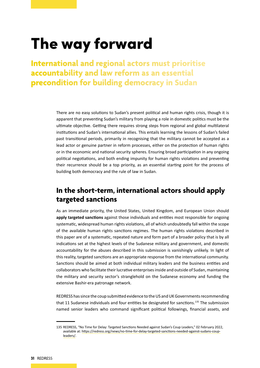# The way forward

**International and regional actors must prioritise accountability and law reform as an essential precondition for building democracy in Sudan**

> There are no easy solutions to Sudan's present political and human rights crisis, though it is apparent that preventing Sudan's military from playing a role in domestic politics must be the ultimate objective. Getting there requires strong steps from regional and global multilateral institutions and Sudan's international allies. This entails learning the lessons of Sudan's failed past transitional periods, primarily in recognising that the military cannot be accepted as a lead actor or genuine partner in reform processes, either on the protection of human rights or in the economic and national security spheres. Ensuring broad participation in any ongoing political negotiations, and both ending impunity for human rights violations and preventing their recurrence should be a top priority, as an essential starting point for the process of building both democracy and the rule of law in Sudan.

## **In the short-term, international actors should apply targeted sanctions**

As an immediate priority, the United States, United Kingdom, and European Union should **apply targeted sanctions** against those individuals and entities most responsible for ongoing systematic, widespread human rights violations, all of which undoubtedly fall within the scope of the available human rights sanctions regimes. The human rights violations described in this paper are of a systematic, repeated nature and form part of a broader policy that is by all indications set at the highest levels of the Sudanese military and government, and domestic accountability for the abuses described in this submission is vanishingly unlikely. In light of this reality, targeted sanctions are an appropriate response from the international community. Sanctions should be aimed at both individual military leaders and the business entities and collaborators who facilitate their lucrative enterprises inside and outside of Sudan, maintaining the military and security sector's stranglehold on the Sudanese economy and funding the extensive Bashir-era patronage network.

REDRESS has since the coup submitted evidence to the US and UK Governments recommending that 11 Sudanese individuals and four entities be designated for sanctions.<sup>135</sup> The submission named senior leaders who command significant political followings, financial assets, and

<sup>135</sup> REDRESS, "No Time for Delay: Targeted Sanctions Needed against Sudan's Coup Leaders," 02 February 2022, available at: [https://redress.org/news/no-time-for-delay-targeted-sanctions-needed-against-sudans-coup](https://redress.org/news/no-time-for-delay-targeted-sanctions-needed-against-sudans-coup-leaders/)[leaders/](https://redress.org/news/no-time-for-delay-targeted-sanctions-needed-against-sudans-coup-leaders/).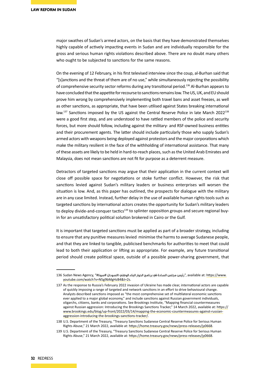major swathes of Sudan's armed actors, on the basis that they have demonstrated themselves highly capable of actively impacting events in Sudan and are individually responsible for the gross and serious human rights violations described above. There are no doubt many others who ought to be subjected to sanctions for the same reasons.

On the evening of 12 February, in his first televised interview since the coup, al-Burhan said that "[s]anctions and the threat of them are of no use," while simultaneously rejecting the possibility of comprehensive security sector reforms during any transitional period.136 Al-Burhan appears to have concluded that the appetite for recourse to sanctions remains low. The US, UK, and EU should prove him wrong by comprehensively implementing both travel bans and asset freezes, as well as other sanctions, as appropriate, that have been utilised against States breaking international law.<sup>137</sup> Sanctions imposed by the US against the Central Reserve Police in late March 2022<sup>138</sup> were a good first step, and are understood to have rattled members of the police and security forces, but more should follow, including against the military- and RSF-owned business entities and their procurement agents. The latter should include particularly those who supply Sudan's armed actors with weapons being deployed against protestors and the major corporations which make the military resilient in the face of the withholding of international assistance. That many of these assets are likely to be held in hard-to-reach places, such as the United Arab Emirates and Malaysia, does not mean sanctions are not fit for purpose as a deterrent measure.

Detractors of targeted sanctions may argue that their application in the current context will close off possible space for negotiations or stoke further conflict. However, the risk that sanctions levied against Sudan's military leaders or business enterprises will worsen the situation is low. And, as this paper has outlined, the prospects for dialogue with the military are in any case limited. Instead, further delay in the use of available human rights tools such as targeted sanctions by international actors creates the opportunity for Sudan's military leaders to deploy divide-and-conquer tactics<sup>139</sup> to splinter opposition groups and secure regional buyin for an unsatisfactory political solution brokered in Cairo or the Gulf.

It is important that targeted sanctions must be applied as part of a broader strategy, including to ensure that any punitive measures levied minimise the harms to average Sudanese people, and that they are linked to tangible, publicised benchmarks for authorities to meet that could lead to both their application or lifting as appropriate. For example, any future transitional period should create political space, outside of a possible power-sharing government, that

<sup>.</sup>available at: https://www "رئيس مجلس السادة في برنامج الحوار البناء الوطني االسودان #سونا#" , available at: ht [youtube.com/watch?v=N5g9bMgHzB4&t=2s](https://www.youtube.com/watch?v=N5g9bMgHzB4&t=2s).

<sup>137</sup> As the response to Russia's February 2022 invasion of Ukraine has made clear, international actors are capable of quickly imposing a range of targeted and network sanctions in an effort to drive behavioural change. Analysts described sanctions imposed as "the most comprehensive set of multilateral economic sanctions ever applied to a major global economy," and include sanctions against Russian government individuals, oligarchs, citizens, banks and corporations. See Brookings Institute, "Mapping financial countermeasures against Russian aggression: Introducing the Brookings Sanctions Tracker," 14 March 2022, available at: https:// www.brookings.edu/blog/up-front/2022/03/14/mapping-the-economic-countermeasures-against-russianaggression-introducing-the-brookings-sanctions-tracker/.

<sup>138</sup> U.S. Department of the Treasury, "Treasury Sanctions Sudanese Central Reserve Police for Serious Human Rights Abuse," 21 March 2022, available at:<https://home.treasury.gov/news/press-releases/jy0668>.

<sup>139</sup> U.S. Department of the Treasury, "Treasury Sanctions Sudanese Central Reserve Police for Serious Human Rights Abuse," 21 March 2022, available at: https://home.treasury.gov/news/press-releases/jy0668.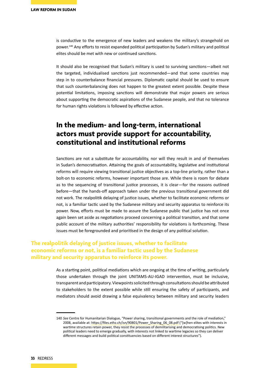is conductive to the emergence of new leaders and weakens the military's strangehold on power.140 Any efforts to resist expanded political participation by Sudan's military and political elites should be met with new or continued sanctions.

It should also be recognised that Sudan's military is used to surviving sanctions—albeit not the targeted, individualised sanctions just recommended—and that some countries may step in to counterbalance financial pressures. Diplomatic capital should be used to ensure that such counterbalancing does not happen to the greatest extent possible. Despite these potential limitations, imposing sanctions will demonstrate that major powers are serious about supporting the democratic aspirations of the Sudanese people, and that no tolerance for human rights violations is followed by effective action.

### **In the medium- and long-term, international actors must provide support for accountability, constitutional and institutional reforms**

Sanctions are not a substitute for accountability, nor will they result in and of themselves in Sudan's democratisation. Attaining the goals of accountability, legislative and institutional reforms will require viewing transitional justice objectives as a top-line priority, rather than a bolt-on to economic reforms, however important those are. While there is room for debate as to the sequencing of transitional justice processes, it is clear—for the reasons outlined before—that the hands-off approach taken under the previous transitional government did not work. The realpolitik delaying of justice issues, whether to facilitate economic reforms or not, is a familiar tactic used by the Sudanese military and security apparatus to reinforce its power. Now, efforts must be made to assure the Sudanese public that justice has not once again been set aside as negotiations proceed concerning a political transition, and that some public account of the military authorities' responsibility for violations is forthcoming. These issues must be foregrounded and prioritised in the design of any political solution.

### **The realpolitik delaying of justice issues, whether to facilitate economic reforms or not, is a familiar tactic used by the Sudanese military and security apparatus to reinforce its power.**

As a starting point, political mediations which are ongoing at the time of writing, particularly those undertaken through the joint UNITAMS-AU-IGAD intervention, must be inclusive, transparent and participatory. Viewpoints solicited through consultations should be attributed to stakeholders to the extent possible while still ensuring the safety of participants, and mediators should avoid drawing a false equivalency between military and security leaders

<sup>140</sup> *See* Centre for Humanitarian Dialogue, "Power sharing, transitional governments and the role of mediation," 2008, available at: https://files.ethz.ch/isn/90801/Power\_Sharing\_06\_08.pdf ("[w]hen elites with interests in wartime structures retain power, they resist the processes of demilitarising and democratising politics. New political leaders need to emerge gradually, with interests not linked to wartime legacies so they can deliver different messages and build political constituencies based on different interest structures").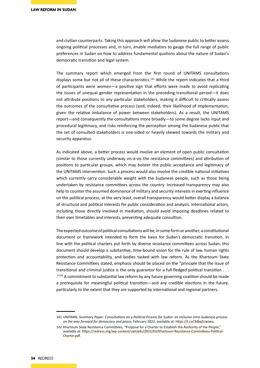and civilian counterparts. Taking this approach will allow the Sudanese public to better assess ongoing political processes and, in turn, enable mediators to gauge the full range of public preferences in Sudan on how to address fundamental qustions about the nature of Sudan's democratic transition and legal system.

The summary report which emerged from the first round of UNITAMS consultations displays some but not all of these characteristics.141 While the report indicates that a third of participants were women—a positive sign that efforts were made to avoid replicating the issues of unequal gender representation in the preceding transitional period—it does not attribute positions to any particular stakeholders, making it difficult to critically assess the outcomes of the consultative process (and, indeed, their likelihood of implementation, given the relative imbalance of power between stakeholders). As a result, the UNITAMS report—and consequently the consultations more broadly—to some degree lacks input and procedural legitimacy, and risks reinforcing the perception among the Sudanese public that the set of consulted stakeholders is one-sided or heavily skewed towards the military and security apparatus.

As indicated above, a better process would involve an element of open public consultation (similar to those currently underway vis-à-vis the resistance committees) and attribution of positions to particular groups, which may bolster the public acceptance and legitimacy of the UNITAMS intervention. Such a process would also involve the credible national initiatives which currently carry considerable weight with the Sudanese people, such as those being undertaken by resistance committees across the country. Increased transparency may also help to counter the assumed dominance of military and security interests in exerting influence on the political process; at the very least, overall transparency would better display a balance of structural and political interests for public consideration and analysis. International actors, including those directly involved in mediation, should avoid imposing deadlines related to their own timetables and interests, preventing adequate consultion.

The expected outcome of political consultations will be, in some form or another, a constitutional document or framework intended to form the basis for Sudan's democratic transition. In line with the political charters put forth by diverse resistance committees across Sudan, this document should develop a substantive, time-bound vision for the rule of law, human rights protection and accountability, and bodies tasked with law reform. As the Khartoum State Resistance Committees stated, emphasis should be placed on the "principle that the issue of transitional and criminal justice is the only guarantor for a full-fledged political transition . . .  $\frac{1}{2}$ ."<sup>142</sup> A commitment to substantial law reform by any future governing coalition should be made a prerequisite for meaningful political transition—and any credible elections in the future, particularly to the extent that they are supported by international and regional partners.

<sup>141</sup> UNITAMS, *Summary Paper: Consultations on a Political Process for Sudan: an inclusive intra-Sudanese process on the way forward for democracy and peace*, February 2022, available at:<https://t.co/3dbq5cwoeu>.

<sup>142</sup> Khartoum State Resistance Committees, "Proposal for a Charter to Establish the Authority of the People," available at: [https://redress.org/wp-content/uploads/2022/03/Khartoum-Resistance-Committees-Political-](https://redress.org/wp-content/uploads/2022/03/Khartoum-Resistance-Committees-Political-Charter.pdf)[Charter.pdf](https://redress.org/wp-content/uploads/2022/03/Khartoum-Resistance-Committees-Political-Charter.pdf).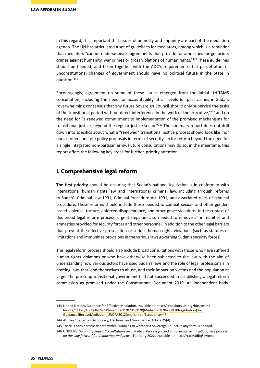In this regard, it is important that issues of amnesty and impunity are part of the mediation agenda. The UN has articulated a set of guidelines for mediators, among which is a reminder that mediators "cannot endorse peace agreements that provide for amnesties for genocide, crimes against humanity, war crimes or gross violations of human rights."143 These guidelines should be heeded, and taken together with the ADC's requirements that perpetrators of unconstitutional changes of government should have no political future in the State in question.144

Encouragingly, agreement on some of these issues emerged from the initial UNITAMS consultation, including the need for accountability at all levels for past crimes in Sudan, "overwhelming consensus that any future Sovereign Council should only supervise the tasks of the transitional period without direct interference in the work of the executive,"<sup>145</sup> and on the need for "a renewed commitment to implementation of the promised mechanisms for transitional justice, beyond the regular justice sector."<sup>146</sup> The summary report does not drill down into specifics about what a "renewed" transitional justice process should look like, nor does it offer concrete policy proposals in terms of security sector reform beyond the need for a single integrated non-partisan army. Future consultations may do so; in the meantime, this report offers the following key areas for further, priority attention.

#### **i. Comprehensive legal reform**

**The first priority** should be ensuring that Sudan's national legislation is in conformity with international human rights law and international criminal law, including through reforms to Sudan's Criminal Law 1991, Criminal Procedure Act 1991, and associated rules of criminal procedure. These reforms should include those needed to combat sexual- and other genderbased violence, torture, enforced disappearance, and other grave violations. In the context of this broad legal reform process, urgent steps are also needed to remove all immunities and amnesties provided for security forces and other personnel, in addition to the other legal barriers that prevent the effective prosecution of serious human rights violations (such as statutes of limitations and immunities provisions in the various laws governing Sudan's security forces).

This legal reform process should also include broad consultations with those who have suffered human rights violations or who have otherwise been subjected to the law, with the aim of understanding how various actors have used Sudan's laws and the role of legal professionals in drafting laws that lend themselves to abuse, and their impact on victims and the population at large. The pre-coup transitional government had not succeeded in establishing a legal reform commission as promised under the Constitutional Document 2019. An independent body,

<sup>143</sup> United Nations Guidance for Effective Mediation, available at: http://repository.un.org/bitstream/ handle/11176/400960/8%20November%202019%20(Mediation%20and%20Negotiation)%20 GuidanceEffectiveMediation\_UNDPA2012(english).pdf?sequence=47.

<sup>144</sup> African Charter on Democracy, Elections, and Governance, Article 25(4).

<sup>145</sup> There is considerable debate within Sudan as to whether a Sovereign Council in any form is needed.

<sup>146</sup> UNITAMS, *Summary Paper: Consultations on a Political Process for Sudan: an inclusive intra-Sudanese process on the way forward for democracy and peace*, February 2022, available at:<https://t.co/3dbq5cwoeu>.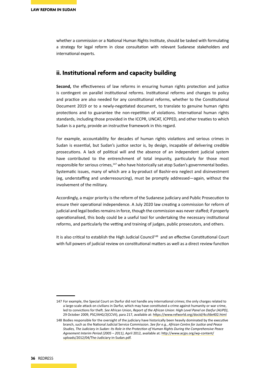whether a commission or a National Human Rights Institute, should be tasked with formulating a strategy for legal reform in close consultation with relevant Sudanese stakeholders and international experts.

### **ii. Institutional reform and capacity building**

**Second,** the effectiveness of law reforms in ensuring human rights protection and justice is contingent on parallel institutional reforms. Institutional reforms and changes to policy and practice are also needed for any constitutional reforms, whether to the Constitutional Document 2019 or to a newly-negotiated document, to translate to genuine human rights protections and to guarantee the non-repetition of violations. International human rights standards, including those provided in the ICCPR, UNCAT, ICPPED, and other treaties to which Sudan is a party, provide an instructive framework in this regard.

For example, accountability for decades of human rights violations and serious crimes in Sudan is essential, but Sudan's justice sector is, by design, incapable of delivering credible prosecutions. A lack of political will and the absence of an independent judicial system have contributed to the entrenchment of total impunity, particularly for those most responsible for serious crimes,<sup>147</sup> who have historically sat atop Sudan's governmental bodies. Systematic issues, many of which are a by-product of Bashir-era neglect and disinvestment (eg, understaffing and underresourcing), must be promptly addressed—again, without the involvement of the military.

Accordingly, a major priority is the reform of the Sudanese judiciary and Public Prosecution to ensure their operational independence. A July 2020 law creating a commission for reform of judicial and legal bodies remains in force, though the commission was never staffed; if properly operationalised, this body could be a useful tool for undertaking the necessary institutional reforms, and particularly the vetting and training of judges, public prosecutors, and others.

It is also critical to establish the High Judicial Council<sup>148</sup> and an effective Constitutional Court with full powers of judicial review on constitutional matters as well as a direct review function

<sup>147</sup> For example, the Special Court on Darfur did not handle any international crimes; the only charges related to a large-scale attack on civilians in Darfur, which may have constituted a crime against humanity or war crime, led to convictions for theft. *See* African Union, *Report of the African Union: High Level Panel on Darfur (AUPD)*, 29 October 2009, PSC/AHG/2(CCVII), para 217, available at: https://www.refworld.org/docid/4ccfde402.html

<sup>148</sup> Bodies responsible for the oversight of the judiciary have historically been heavily dominated by the executive branch, such as the National Judicial Service Commission. *See for e.g., African Centre for Justice and Peace Studies, The Judiciary in Sudan: Its Role in the Protection of Human Rights During the Comprehensive Peace Agreement Interim Period (2005 – 2011)*, April 2012, available at: http://www.acjps.org/wp-content/ uploads/2012/04/The-Judiciary-in-Sudan.pdf.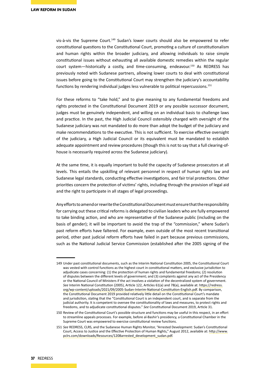vis-à-vis the Supreme Court.<sup>149</sup> Sudan's lower courts should also be empowered to refer constitutional questions to the Constitutional Court, promoting a culture of constitutionalism and human rights within the broader judiciary, and allowing individuals to raise simple constitutional issues without exhausting all available domestic remedies within the regular court system—historically a costly, and time-consuming, endeavour.150 As REDRESS has previously noted with Sudanese partners, allowing lower courts to deal with constitutional issues before going to the Constitutional Court may strengthen the judiciary's accountability functions by rendering individual judges less vulnerable to political repercussions.<sup>151</sup>

For these reforms to "take hold," and to give meaning to any fundamental freedoms and rights protected in the Constitutional Document 2019 or any possible successor document, judges must be genuinely independent, and willing on an individual basis to challenge laws and practice. In the past, the High Judicial Council ostensibly charged with oversight of the Sudanese judiciary was not mandated to do more than adopt the budget of the judiciary and make recommendations to the executive. This is not sufficient. To exercise effective oversight of the judiciary, a High Judicial Council or its equivalent must be mandated to establish adequate appointment and review procedures (though this is not to say that a full clearing-ofhouse is necessarily required across the Sudanese judiciary).

At the same time, it is equally important to build the capacity of Sudanese prosecutors at all levels. This entails the upskilling of relevant personnel in respect of human rights law and Sudanese legal standards, conducting effective investigations, and fair trial protections. Other priorities concern the protection of victims' rights, including through the provision of legal aid and the right to participate in all stages of legal proceedings.

Any efforts to amend or rewrite the Constitutional Document must ensure that the responsibility for carrying out these critical reforms is delegated to civilian leaders who are fully empowered to take binding action, and who are representative of the Sudanese public (including on the basis of gender); it will be important to avoid the trap of the "commission," where Sudan's past reform efforts have faltered. For example, even outside of the most recent transitional period, other past judicial reform efforts have failed in part because previous commissions, such as the National Judicial Service Commission (established after the 2005 signing of the

<sup>149</sup> Under past constitutional documents, such as the Interim National Constitution 2005, the Constitutional Court was vested with control functions as the highest court in constitutional matters, and exclusive jurisdiction to adjudicate cases concerning: (1) the protection of human rights and fundamental freedoms; (2) resolution of disputes between the different levels of government; and (3) complaints against any act of the Presidency or the National Council of Ministers if the act involves a violation of the decentralized system of government. *See* Interim National Constitution (2005), Article 122, Articles 61(a) and 78(a), available at: https://redress. org/wp-content/uploads/2021/09/2005-Sudan-Interim-National-Constitution-English.pdf. By comparison, the Constitutional Document 2019 provided relatively little detail on the Constitutional Court's mandate and jurisdiction, stating that the "Constitutional Court is an independent court, and is separate from the judicial authority. It is competent to oversee the constitutionality of laws and measures, to protect rights and freedoms, and to adjudicate constitutional disputes." *See* Constitutional Document 2019, Article 31.

<sup>150</sup> Review of the Constitutional Court's possible structure and functions may be useful in this respect, in an effort to streamline appeals processes. For example, before al-Bashir's presidency, a Constitutional Chamber in the Supreme Court was empowered to exercise constitutional review functions.

<sup>151</sup> *See* REDRESS, CLRS, and the Sudanese Human Rights Monitor, "Arrested Development: Sudan's Constitutional Court, Access to Justice and the Effective Protection of Human Rights," August 2012, available at: http://www. pclrs.com/downloads/Resources/1208arrested\_development\_sudan.pdf.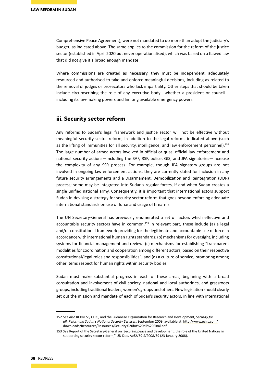Comprehensive Peace Agreement), were not mandated to do more than adopt the judiciary's budget, as indicated above. The same applies to the commission for the reform of the justice sector (established in April 2020 but never operationalised), which was based on a flawed law that did not give it a broad enough mandate.

Where commissions are created as necessary, they must be independent, adequately resourced and authorised to take and enforce meaningful decisions, including as related to the removal of judges or prosecutors who lack impartiality. Other steps that should be taken include circumscribing the role of any executive body—whether a president or council including its law-making powers and limiting available emergency powers.

#### **iii. Security sector reform**

Any reforms to Sudan's legal framework and justice sector will not be effective without meaningful security sector reform, in addition to the legal reforms indicated above (such as the lifting of immunities for all security, intelligence, and law enforcement personnel).<sup>152</sup> The large number of armed actors involved in official or quasi-official law enforcement and national security actions—including the SAF, RSF, police, GIS, and JPA signatories—increase the complexity of any SSR process. For example, though JPA signatory groups are not involved in ongoing law enforcement actions, they are currently slated for inclusion in any future security arrangements and a Disarmament, Demobilization and Reintegration (DDR) process; some may be integrated into Sudan's regular forces, if and when Sudan creates a single unified national army. Consequently, it is important that international actors support Sudan in devising a strategy for security sector reform that goes beyond enforcing adequate international standards on use of force and usage of firearms.

The UN Secretary-General has previously enumerated a set of factors which effective and accountable security sectors have in common.<sup>153</sup> In relevant part, these include (a) a legal and/or constitutional framework providing for the legitimate and accountable use of force in accordance with international human rights standards; (b) mechanisms for oversight, including systems for financial management and review; (c) mechanisms for establishing "transparent modalities for coordination and cooperation among different actors, based on their respective constitutional/legal roles and responsibilities"; and (d) a culture of service, promoting among other items respect for human rights within security bodies.

Sudan must make substantial progress in each of these areas, beginning with a broad consultation and involvement of civil society, national and local authorities, and grassroots groups, including traditional leaders, women's groups and others. New legislation should clearly set out the mission and mandate of each of Sudan's security actors, in line with international

<sup>152</sup> *See also* REDRESS, CLRS, and the Sudanese Organisation for Research and Development, *Security for all: Reforming Sudan's National Security Services*, September 2009, available at: [http://www.pclrs.com/](http://www.pclrs.com/downloads/Resources/Resources/Security%20for%20all%20Final.pdf) [downloads/Resources/Resources/Security%20for%20all%20Final.pdf](http://www.pclrs.com/downloads/Resources/Resources/Security%20for%20all%20Final.pdf).

<sup>153</sup> *See* Report of the Secretary-General on 'Securing peace and development: the role of the United Nations in supporting security sector reform," UN Doc. A/62/59-S/2008/39 (23 January 2008).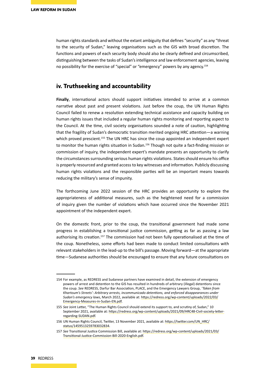human rights standards and without the extant ambiguity that defines "security" as any "threat to the security of Sudan," leaving organisations such as the GIS with broad discretion. The functions and powers of each security body should also be clearly defined and circumscribed, distinguishing between the tasks of Sudan's intelligence and law enforcement agencies, leaving no possibility for the exercise of "special" or "emergency" powers by any agency.154

#### **iv. Truthseeking and accountability**

**Finally**, international actors should support initiatives intended to arrive at a common narrative about past and present violations. Just before the coup, the UN Human Rights Council failed to renew a resolution extending technical assistance and capacity building on human rights issues that included a regular human rights monitoring and reporting aspect to the Council. At the time, civil society organisations sounded a note of caution, highlighting that the fragility of Sudan's democratic transition merited ongoing HRC attention—a warning which proved prescient.<sup>155</sup> The UN HRC has since the coup appointed an independent expert to monitor the human rights situation in Sudan.156 Though not quite a fact-finding mission or commission of inquiry, the independent expert's mandate presents an opportunity to clarify the circumstances surrounding serious human rights violations. States should ensure his office is properly resourced and granted access to key witnesses and information. Publicly discussing human rights violations and the responsible parties will be an important means towards reducing the military's sense of impunity.

The forthcoming June 2022 session of the HRC provides an opportunity to explore the appropriateness of additional measures, such as the heightened need for a commission of inquiry given the number of violations which have occurred since the November 2021 appointment of the independent expert.

On the domestic front, prior to the coup, the transitional government had made some progress in establishing a transitional justice commission, getting as far as passing a law authorising its creation.157 The commission had not been fully operationalised at the time of the coup. Nonetheless, some efforts had been made to conduct limited consultations with relevant stakeholders in the lead-up to the bill's passage. Moving forward—at the appropriate time—Sudanese authorities should be encouraged to ensure that any future consultations on

<sup>154</sup> For example, as REDRESS and Sudanese partners have examined in detail, the extension of emergency powers of arrest and detention to the GIS has resulted in hundreds of arbitrary (illegal) detentions since the coup. *See* REDRESS, Darfur Bar Association, PLACE, and the Emergency Lawyers Group, *'Taken from Khartoum's Streets': Arbitrary arrests, incommunicado detentions, and enforced disappearances under Sudan's emergency laws*, March 2022, available at: [https://redress.org/wp-content/uploads/2022/03/](https://redress.org/wp-content/uploads/2022/03/Emergency-Measures-in-Sudan-EN.pdf) [Emergency-Measures-in-Sudan-EN.pdf](https://redress.org/wp-content/uploads/2022/03/Emergency-Measures-in-Sudan-EN.pdf).

<sup>155</sup> *See* Joint Letter, "The Human Rights Council should extend its support to, and scrutiny of, Sudan," 10 September 2021, available at: [https://redress.org/wp-content/uploads/2021/09/HRC48-Civil-society-letter](https://redress.org/wp-content/uploads/2021/09/HRC48-Civil-society-letter-regarding-SUDAN.pdf)[regarding-SUDAN.pdf](https://redress.org/wp-content/uploads/2021/09/HRC48-Civil-society-letter-regarding-SUDAN.pdf).

<sup>156</sup> UN Human Rights Council, Twitter, 13 November 2021, available at: [https://twitter.com/UN\\_HRC/](https://twitter.com/UN_HRC/status/1459513259783032834) [status/1459513259783032834](https://twitter.com/UN_HRC/status/1459513259783032834).

<sup>157</sup> *See* Transitional Justice Commission Bill, available at: https://redress.org/wp-content/uploads/2021/03/ Transitional-Justice-Commission-Bill-2020-English.pdf.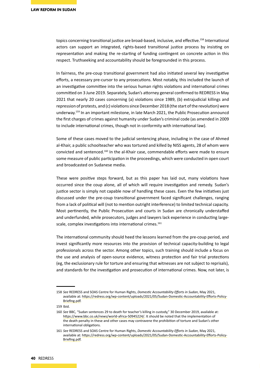topics concerning transitional justice are broad-based, inclusive, and effective.<sup>158</sup> International actors can support an integrated, rights-based transitional justice process by insisting on representation and making the re-starting of funding contingent on concrete action in this respect. Truthseeking and accountability should be foregrounded in this process.

In fairness, the pre-coup transitional government had also initiated several key investigative efforts, a necessary pre-cursor to any prosecutions. Most notably, this included the launch of an investigative committee into the serious human rights violations and international crimes committed on 3 June 2019. Separately, Sudan's attorney general confirmed to REDRESS in May 2021 that nearly 20 cases concerning (a) violations since 1989, (b) extrajudicial killings and repression of protests, and (c) violations since December 2018 (the start of the revolution) were underway.159 In an important milestone, in late March 2021, the Public Prosecution announcd the first charges of crimes against humanity under Sudan's criminal code (as amended in 2009 to include international crimes, though not in conformity with international law).

Some of these cases moved to the judicial sentencing phase, including in the case of Ahmed al-Khair, a public schoolteacher who was tortured and killed by NISS agents, 28 of whom were convicted and sentenced.160 In the al-Khair case, commendable efforts were made to ensure some measure of public participation in the proceedings, which were conducted in open court and broadcasted on Sudanese media.

These were positive steps forward, but as this paper has laid out, many violations have occurred since the coup alone, all of which will require investigation and remedy. Sudan's justice sector is simply not capable now of handling these cases. Even the few initiatives just discussed under the pre-coup transitional government faced significant challenges, ranging from a lack of political will (not to mention outright interference) to limited technical capacity. Most pertinently, the Public Prosecution and courts in Sudan are chronically understaffed and underfunded, while prosecutors, judges and lawyers lack experience in conducting largescale, complex investigations into international crimes.<sup>161</sup>

The international community should heed the lessons learned from the pre-coup period, and invest significantly more resources into the provision of technical capacity-building to legal professionals across the sector. Among other topics, such training should include a focus on the use and analysis of open-source evidence, witness protection and fair trial protections (eg, the exclusionary rule for torture and ensuring that witnesses are not subject to reprisals), and standards for the investigation and prosecution of international crimes. Now, not later, is

159 Ibid.

<sup>158</sup> *See* REDRESS and SOAS Centre for Human Rights, *Domestic Accountability Efforts in Sudan*, May 2021, available at: https://redress.org/wp-content/uploads/2021/05/Sudan-Domestic-Accountability-Efforts-Policy-Briefing.pdf.

<sup>160</sup> *See* BBC, "Sudan sentences 29 to death for teacher's killing in custody," 30 December 2019, available at: https://www.bbc.co.uk/news/world-africa-50945224/. It should be noted that the implementation of the death penalty in these and other cases may contravene the prohibition of torture and Sudan's other international obligations.

<sup>161</sup> *See* REDRESS and SOAS Centre for Human Rights, *Domestic Accountability Efforts in Sudan*, May 2021, available at: https://redress.org/wp-content/uploads/2021/05/Sudan-Domestic-Accountability-Efforts-Policy-Briefing.pdf.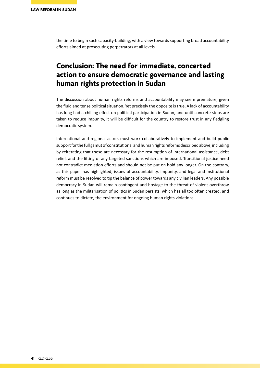the time to begin such capacity-building, with a view towards supporting broad accountability efforts aimed at prosecuting perpetrators at all levels.

## **Conclusion: The need for immediate, concerted action to ensure democratic governance and lasting human rights protection in Sudan**

The discussion about human rights reforms and accountability may seem premature, given the fluid and tense political situation. Yet precisely the opposite is true. A lack of accountability has long had a chilling effect on political participation in Sudan, and until concrete steps are taken to reduce impunity, it will be difficult for the country to restore trust in any fledgling democratic system.

International and regional actors must work collaboratively to implement and build public support for the full gamut of constitutional and human rights reforms described above, including by reiterating that these are necessary for the resumption of international assistance, debt relief, and the lifting of any targeted sanctions which are imposed. Transitional justice need not contradict mediation efforts and should not be put on hold any longer. On the contrary, as this paper has highlighted, issues of accountability, impunity, and legal and institutional reform must be resolved to tip the balance of power towards any civilian leaders. Any possible democracy in Sudan will remain contingent and hostage to the threat of violent overthrow as long as the militarisation of politics in Sudan persists, which has all too often created, and continues to dictate, the environment for ongoing human rights violations.